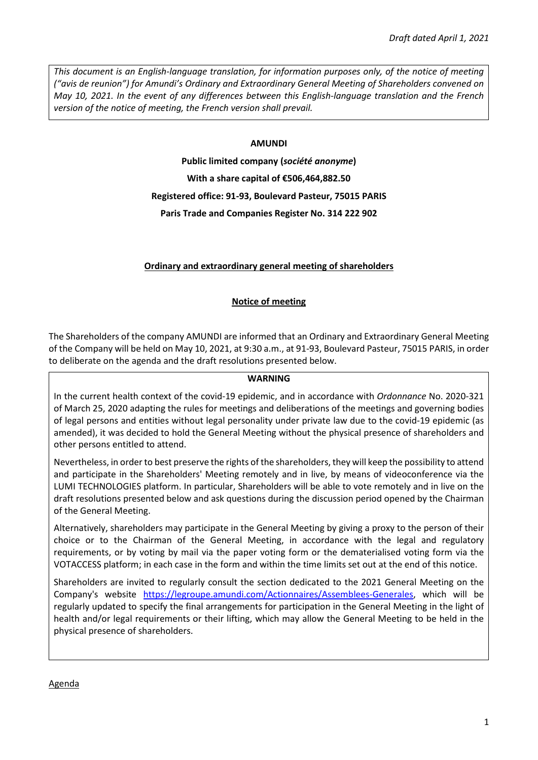*This document is an English-language translation, for information purposes only, of the notice of meeting ("avis de reunion") for Amundi's Ordinary and Extraordinary General Meeting of Shareholders convened on May 10, 2021. In the event of any differences between this English-language translation and the French version of the notice of meeting, the French version shall prevail.* 

#### **AMUNDI**

**Public limited company (***société anonyme***) With a share capital of €506,464,882.50 Registered office: 91-93, Boulevard Pasteur, 75015 PARIS Paris Trade and Companies Register No. 314 222 902** 

### **Ordinary and extraordinary general meeting of shareholders**

### **Notice of meeting**

The Shareholders of the company AMUNDI are informed that an Ordinary and Extraordinary General Meeting of the Company will be held on May 10, 2021, at 9:30 a.m., at 91-93, Boulevard Pasteur, 75015 PARIS, in order to deliberate on the agenda and the draft resolutions presented below.

#### **WARNING**

In the current health context of the covid-19 epidemic, and in accordance with *Ordonnance* No. 2020-321 of March 25, 2020 adapting the rules for meetings and deliberations of the meetings and governing bodies of legal persons and entities without legal personality under private law due to the covid-19 epidemic (as amended), it was decided to hold the General Meeting without the physical presence of shareholders and other persons entitled to attend.

Nevertheless, in order to best preserve the rights of the shareholders, they will keep the possibility to attend and participate in the Shareholders' Meeting remotely and in live, by means of videoconference via the LUMI TECHNOLOGIES platform. In particular, Shareholders will be able to vote remotely and in live on the draft resolutions presented below and ask questions during the discussion period opened by the Chairman of the General Meeting.

Alternatively, shareholders may participate in the General Meeting by giving a proxy to the person of their choice or to the Chairman of the General Meeting, in accordance with the legal and regulatory requirements, or by voting by mail via the paper voting form or the dematerialised voting form via the VOTACCESS platform; in each case in the form and within the time limits set out at the end of this notice.

Shareholders are invited to regularly consult the section dedicated to the 2021 General Meeting on the Company's website [https://legroupe.amundi.com/Actionnaires/Assemblees-Generales,](https://legroupe.amundi.com/Actionnaires/Assemblees-Generales) which will be regularly updated to specify the final arrangements for participation in the General Meeting in the light of health and/or legal requirements or their lifting, which may allow the General Meeting to be held in the physical presence of shareholders.

Agenda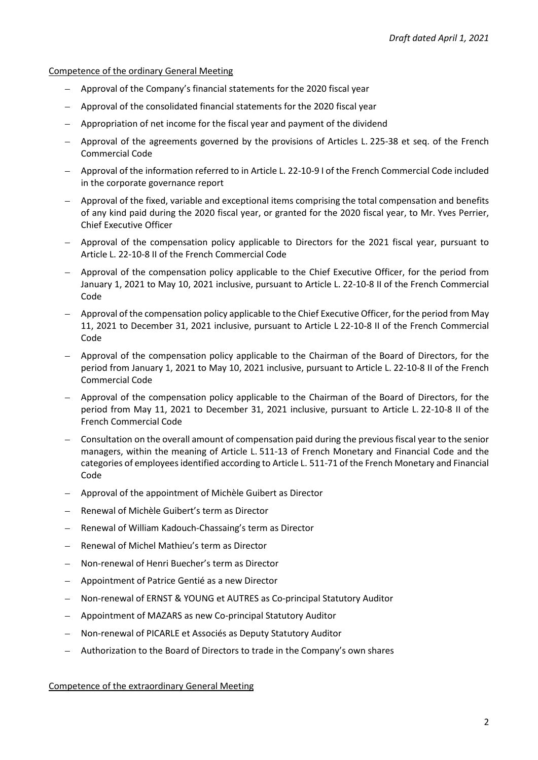Competence of the ordinary General Meeting

- Approval of the Company's financial statements for the 2020 fiscal year
- Approval of the consolidated financial statements for the 2020 fiscal year
- Appropriation of net income for the fiscal year and payment of the dividend
- Approval of the agreements governed by the provisions of Articles L. 225-38 et seq. of the French Commercial Code
- Approval of the information referred to in Article L. 22-10-9 I of the French Commercial Code included in the corporate governance report
- Approval of the fixed, variable and exceptional items comprising the total compensation and benefits of any kind paid during the 2020 fiscal year, or granted for the 2020 fiscal year, to Mr. Yves Perrier, Chief Executive Officer
- Approval of the compensation policy applicable to Directors for the 2021 fiscal year, pursuant to Article L. 22-10-8 II of the French Commercial Code
- Approval of the compensation policy applicable to the Chief Executive Officer, for the period from January 1, 2021 to May 10, 2021 inclusive, pursuant to Article L. 22-10-8 II of the French Commercial Code
- Approval of the compensation policy applicable to the Chief Executive Officer, for the period from May 11, 2021 to December 31, 2021 inclusive, pursuant to Article L 22-10-8 II of the French Commercial Code
- Approval of the compensation policy applicable to the Chairman of the Board of Directors, for the period from January 1, 2021 to May 10, 2021 inclusive, pursuant to Article L. 22-10-8 II of the French Commercial Code
- Approval of the compensation policy applicable to the Chairman of the Board of Directors, for the period from May 11, 2021 to December 31, 2021 inclusive, pursuant to Article L. 22-10-8 II of the French Commercial Code
- Consultation on the overall amount of compensation paid during the previous fiscal year to the senior managers, within the meaning of Article L. 511-13 of French Monetary and Financial Code and the categories of employees identified according to Article L. 511-71 of the French Monetary and Financial Code
- Approval of the appointment of Michèle Guibert as Director
- Renewal of Michèle Guibert's term as Director
- Renewal of William Kadouch-Chassaing's term as Director
- Renewal of Michel Mathieu's term as Director
- Non-renewal of Henri Buecher's term as Director
- Appointment of Patrice Gentié as a new Director
- Non-renewal of ERNST & YOUNG et AUTRES as Co-principal Statutory Auditor
- Appointment of MAZARS as new Co-principal Statutory Auditor
- Non-renewal of PICARLE et Associés as Deputy Statutory Auditor
- Authorization to the Board of Directors to trade in the Company's own shares

Competence of the extraordinary General Meeting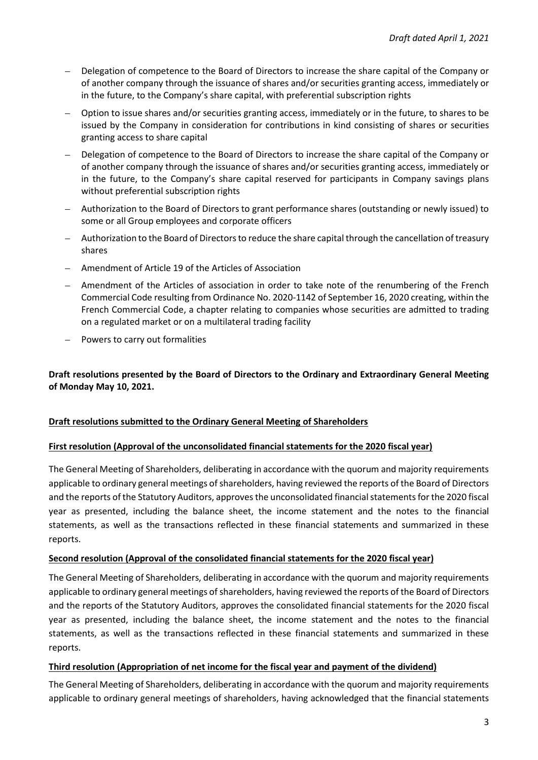- Delegation of competence to the Board of Directors to increase the share capital of the Company or of another company through the issuance of shares and/or securities granting access, immediately or in the future, to the Company's share capital, with preferential subscription rights
- Option to issue shares and/or securities granting access, immediately or in the future, to shares to be issued by the Company in consideration for contributions in kind consisting of shares or securities granting access to share capital
- Delegation of competence to the Board of Directors to increase the share capital of the Company or of another company through the issuance of shares and/or securities granting access, immediately or in the future, to the Company's share capital reserved for participants in Company savings plans without preferential subscription rights
- Authorization to the Board of Directors to grant performance shares (outstanding or newly issued) to some or all Group employees and corporate officers
- Authorization to the Board of Directors to reduce the share capital through the cancellation of treasury shares
- Amendment of Article 19 of the Articles of Association
- Amendment of the Articles of association in order to take note of the renumbering of the French Commercial Code resulting from Ordinance No. 2020-1142 of September 16, 2020 creating, within the French Commercial Code, a chapter relating to companies whose securities are admitted to trading on a regulated market or on a multilateral trading facility
- Powers to carry out formalities

## **Draft resolutions presented by the Board of Directors to the Ordinary and Extraordinary General Meeting of Monday May 10, 2021.**

## **Draft resolutions submitted to the Ordinary General Meeting of Shareholders**

### **First resolution (Approval of the unconsolidated financial statements for the 2020 fiscal year)**

The General Meeting of Shareholders, deliberating in accordance with the quorum and majority requirements applicable to ordinary general meetings of shareholders, having reviewed the reports of the Board of Directors and the reports of the Statutory Auditors, approves the unconsolidated financial statements for the 2020 fiscal year as presented, including the balance sheet, the income statement and the notes to the financial statements, as well as the transactions reflected in these financial statements and summarized in these reports.

### **Second resolution (Approval of the consolidated financial statements for the 2020 fiscal year)**

The General Meeting of Shareholders, deliberating in accordance with the quorum and majority requirements applicable to ordinary general meetings of shareholders, having reviewed the reports of the Board of Directors and the reports of the Statutory Auditors, approves the consolidated financial statements for the 2020 fiscal year as presented, including the balance sheet, the income statement and the notes to the financial statements, as well as the transactions reflected in these financial statements and summarized in these reports.

### **Third resolution (Appropriation of net income for the fiscal year and payment of the dividend)**

The General Meeting of Shareholders, deliberating in accordance with the quorum and majority requirements applicable to ordinary general meetings of shareholders, having acknowledged that the financial statements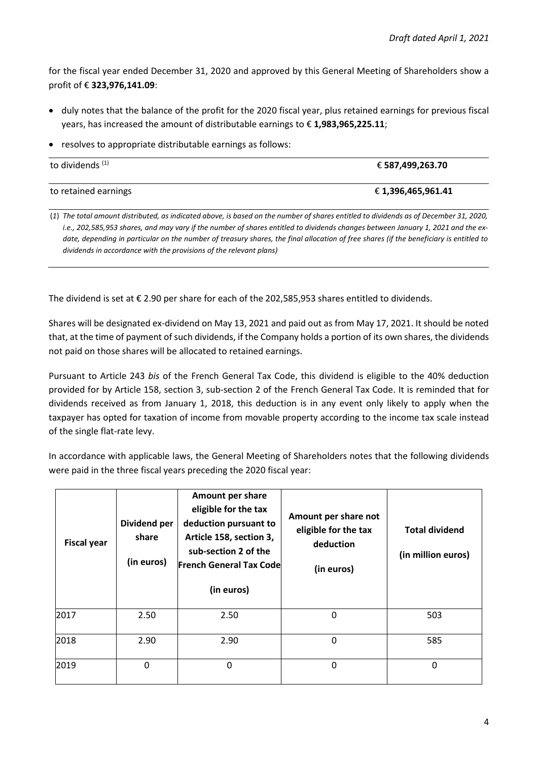for the fiscal year ended December 31, 2020 and approved by this General Meeting of Shareholders show a profit of € **323,976,141.09**:

- duly notes that the balance of the profit for the 2020 fiscal year, plus retained earnings for previous fiscal years, has increased the amount of distributable earnings to € **1,983,965,225.11**;
- resolves to appropriate distributable earnings as follows:

| to dividends <sup>(1)</sup> | € 587,499,263.70   |
|-----------------------------|--------------------|
| to retained earnings        | € 1,396,465,961.41 |

(*1*) *The total amount distributed, as indicated above, is based on the number of shares entitled to dividends as of December 31, 2020, i.e., 202,585,953 shares, and may vary if the number of shares entitled to dividends changes between January 1, 2021 and the exdate, depending in particular on the number of treasury shares, the final allocation of free shares (if the beneficiary is entitled to dividends in accordance with the provisions of the relevant plans)*

The dividend is set at € 2.90 per share for each of the 202,585,953 shares entitled to dividends.

Shares will be designated ex-dividend on May 13, 2021 and paid out as from May 17, 2021. It should be noted that, at the time of payment of such dividends, if the Company holds a portion of its own shares, the dividends not paid on those shares will be allocated to retained earnings.

Pursuant to Article 243 *bis* of the French General Tax Code, this dividend is eligible to the 40% deduction provided for by Article 158, section 3, sub-section 2 of the French General Tax Code. It is reminded that for dividends received as from January 1, 2018, this deduction is in any event only likely to apply when the taxpayer has opted for taxation of income from movable property according to the income tax scale instead of the single flat-rate levy.

In accordance with applicable laws, the General Meeting of Shareholders notes that the following dividends were paid in the three fiscal years preceding the 2020 fiscal year:

| <b>Fiscal year</b> | Dividend per<br>share<br>(in euros) | Amount per share<br>eligible for the tax<br>deduction pursuant to<br>Article 158, section 3,<br>sub-section 2 of the<br><b>French General Tax Code</b><br>(in euros) | Amount per share not<br>eligible for the tax<br>deduction<br>(in euros) | <b>Total dividend</b><br>(in million euros) |
|--------------------|-------------------------------------|----------------------------------------------------------------------------------------------------------------------------------------------------------------------|-------------------------------------------------------------------------|---------------------------------------------|
| 2017               | 2.50                                | 2.50                                                                                                                                                                 | $\Omega$                                                                | 503                                         |
| 2018               | 2.90                                | 2.90                                                                                                                                                                 | 0                                                                       | 585                                         |
| 2019               | 0                                   | 0                                                                                                                                                                    | 0                                                                       | 0                                           |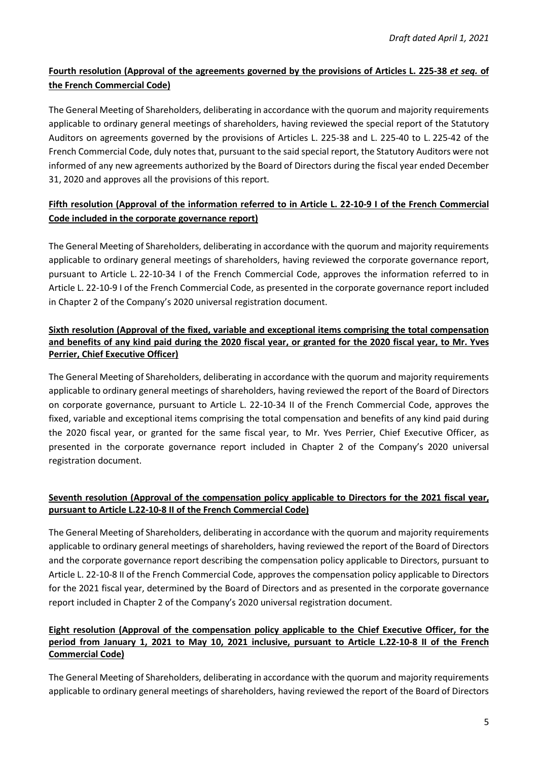# **Fourth resolution (Approval of the agreements governed by the provisions of Articles L. 225-38** *et seq.* **of the French Commercial Code)**

The General Meeting of Shareholders, deliberating in accordance with the quorum and majority requirements applicable to ordinary general meetings of shareholders, having reviewed the special report of the Statutory Auditors on agreements governed by the provisions of Articles L. 225-38 and L. 225-40 to L. 225-42 of the French Commercial Code, duly notes that, pursuant to the said special report, the Statutory Auditors were not informed of any new agreements authorized by the Board of Directors during the fiscal year ended December 31, 2020 and approves all the provisions of this report.

## **Fifth resolution (Approval of the information referred to in Article L. 22-10-9 I of the French Commercial Code included in the corporate governance report)**

The General Meeting of Shareholders, deliberating in accordance with the quorum and majority requirements applicable to ordinary general meetings of shareholders, having reviewed the corporate governance report, pursuant to Article L. 22-10-34 I of the French Commercial Code, approves the information referred to in Article L. 22-10-9 I of the French Commercial Code, as presented in the corporate governance report included in Chapter 2 of the Company's 2020 universal registration document.

## **Sixth resolution (Approval of the fixed, variable and exceptional items comprising the total compensation and benefits of any kind paid during the 2020 fiscal year, or granted for the 2020 fiscal year, to Mr. Yves Perrier, Chief Executive Officer)**

The General Meeting of Shareholders, deliberating in accordance with the quorum and majority requirements applicable to ordinary general meetings of shareholders, having reviewed the report of the Board of Directors on corporate governance, pursuant to Article L. 22-10-34 II of the French Commercial Code, approves the fixed, variable and exceptional items comprising the total compensation and benefits of any kind paid during the 2020 fiscal year, or granted for the same fiscal year, to Mr. Yves Perrier, Chief Executive Officer, as presented in the corporate governance report included in Chapter 2 of the Company's 2020 universal registration document.

## **Seventh resolution (Approval of the compensation policy applicable to Directors for the 2021 fiscal year, pursuant to Article L.22-10-8 II of the French Commercial Code)**

The General Meeting of Shareholders, deliberating in accordance with the quorum and majority requirements applicable to ordinary general meetings of shareholders, having reviewed the report of the Board of Directors and the corporate governance report describing the compensation policy applicable to Directors, pursuant to Article L. 22-10-8 II of the French Commercial Code, approves the compensation policy applicable to Directors for the 2021 fiscal year, determined by the Board of Directors and as presented in the corporate governance report included in Chapter 2 of the Company's 2020 universal registration document.

### **Eight resolution (Approval of the compensation policy applicable to the Chief Executive Officer, for the period from January 1, 2021 to May 10, 2021 inclusive, pursuant to Article L.22-10-8 II of the French Commercial Code)**

The General Meeting of Shareholders, deliberating in accordance with the quorum and majority requirements applicable to ordinary general meetings of shareholders, having reviewed the report of the Board of Directors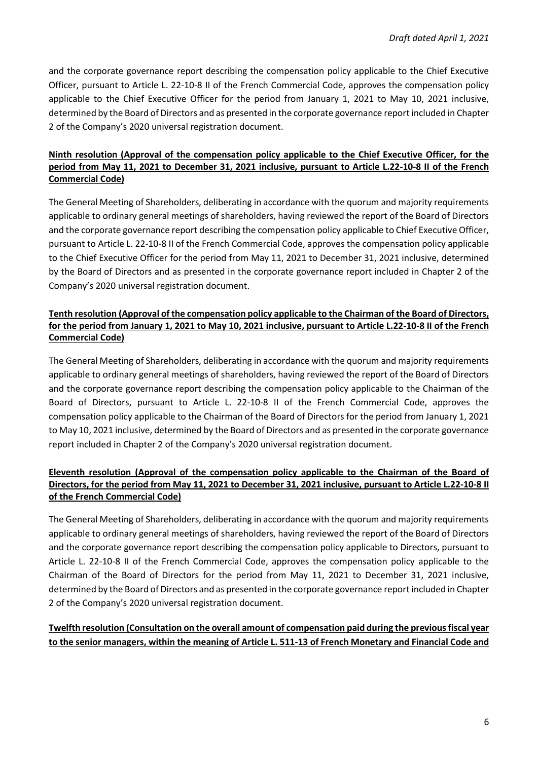and the corporate governance report describing the compensation policy applicable to the Chief Executive Officer, pursuant to Article L. 22-10-8 II of the French Commercial Code, approves the compensation policy applicable to the Chief Executive Officer for the period from January 1, 2021 to May 10, 2021 inclusive, determined by the Board of Directors and as presented in the corporate governance report included in Chapter 2 of the Company's 2020 universal registration document.

### **Ninth resolution (Approval of the compensation policy applicable to the Chief Executive Officer, for the period from May 11, 2021 to December 31, 2021 inclusive, pursuant to Article L.22-10-8 II of the French Commercial Code)**

The General Meeting of Shareholders, deliberating in accordance with the quorum and majority requirements applicable to ordinary general meetings of shareholders, having reviewed the report of the Board of Directors and the corporate governance report describing the compensation policy applicable to Chief Executive Officer, pursuant to Article L. 22-10-8 II of the French Commercial Code, approves the compensation policy applicable to the Chief Executive Officer for the period from May 11, 2021 to December 31, 2021 inclusive, determined by the Board of Directors and as presented in the corporate governance report included in Chapter 2 of the Company's 2020 universal registration document.

### **Tenth resolution (Approval of the compensation policy applicable to the Chairman of the Board of Directors, for the period from January 1, 2021 to May 10, 2021 inclusive, pursuant to Article L.22-10-8 II of the French Commercial Code)**

The General Meeting of Shareholders, deliberating in accordance with the quorum and majority requirements applicable to ordinary general meetings of shareholders, having reviewed the report of the Board of Directors and the corporate governance report describing the compensation policy applicable to the Chairman of the Board of Directors, pursuant to Article L. 22-10-8 II of the French Commercial Code, approves the compensation policy applicable to the Chairman of the Board of Directors for the period from January 1, 2021 to May 10, 2021 inclusive, determined by the Board of Directors and as presented in the corporate governance report included in Chapter 2 of the Company's 2020 universal registration document.

### **Eleventh resolution (Approval of the compensation policy applicable to the Chairman of the Board of Directors, for the period from May 11, 2021 to December 31, 2021 inclusive, pursuant to Article L.22-10-8 II of the French Commercial Code)**

The General Meeting of Shareholders, deliberating in accordance with the quorum and majority requirements applicable to ordinary general meetings of shareholders, having reviewed the report of the Board of Directors and the corporate governance report describing the compensation policy applicable to Directors, pursuant to Article L. 22-10-8 II of the French Commercial Code, approves the compensation policy applicable to the Chairman of the Board of Directors for the period from May 11, 2021 to December 31, 2021 inclusive, determined by the Board of Directors and as presented in the corporate governance report included in Chapter 2 of the Company's 2020 universal registration document.

## **Twelfth resolution (Consultation on the overall amount of compensation paid during the previous fiscal year to the senior managers, within the meaning of Article L. 511-13 of French Monetary and Financial Code and**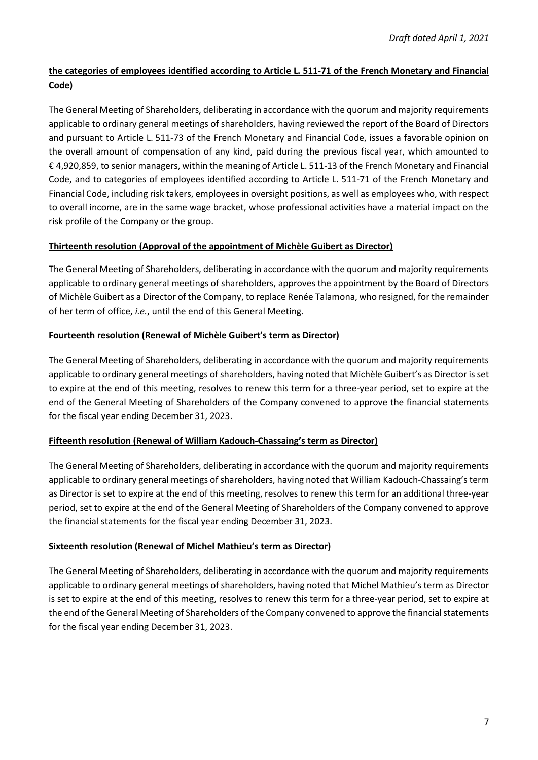# **the categories of employees identified according to Article L. 511-71 of the French Monetary and Financial Code)**

The General Meeting of Shareholders, deliberating in accordance with the quorum and majority requirements applicable to ordinary general meetings of shareholders, having reviewed the report of the Board of Directors and pursuant to Article L. 511-73 of the French Monetary and Financial Code, issues a favorable opinion on the overall amount of compensation of any kind, paid during the previous fiscal year, which amounted to € 4,920,859, to senior managers, within the meaning of Article L. 511-13 of the French Monetary and Financial Code, and to categories of employees identified according to Article L. 511-71 of the French Monetary and Financial Code, including risk takers, employees in oversight positions, as well as employees who, with respect to overall income, are in the same wage bracket, whose professional activities have a material impact on the risk profile of the Company or the group.

### **Thirteenth resolution (Approval of the appointment of Michèle Guibert as Director)**

The General Meeting of Shareholders, deliberating in accordance with the quorum and majority requirements applicable to ordinary general meetings of shareholders, approves the appointment by the Board of Directors of Michèle Guibert as a Director of the Company, to replace Renée Talamona, who resigned, for the remainder of her term of office, *i.e.*, until the end of this General Meeting.

### **Fourteenth resolution (Renewal of Michèle Guibert's term as Director)**

The General Meeting of Shareholders, deliberating in accordance with the quorum and majority requirements applicable to ordinary general meetings of shareholders, having noted that Michèle Guibert's as Director is set to expire at the end of this meeting, resolves to renew this term for a three-year period, set to expire at the end of the General Meeting of Shareholders of the Company convened to approve the financial statements for the fiscal year ending December 31, 2023.

### **Fifteenth resolution (Renewal of William Kadouch-Chassaing's term as Director)**

The General Meeting of Shareholders, deliberating in accordance with the quorum and majority requirements applicable to ordinary general meetings of shareholders, having noted that William Kadouch-Chassaing's term as Director is set to expire at the end of this meeting, resolves to renew this term for an additional three-year period, set to expire at the end of the General Meeting of Shareholders of the Company convened to approve the financial statements for the fiscal year ending December 31, 2023.

### **Sixteenth resolution (Renewal of Michel Mathieu's term as Director)**

The General Meeting of Shareholders, deliberating in accordance with the quorum and majority requirements applicable to ordinary general meetings of shareholders, having noted that Michel Mathieu's term as Director is set to expire at the end of this meeting, resolves to renew this term for a three-year period, set to expire at the end of the General Meeting of Shareholders of the Company convened to approve the financial statements for the fiscal year ending December 31, 2023.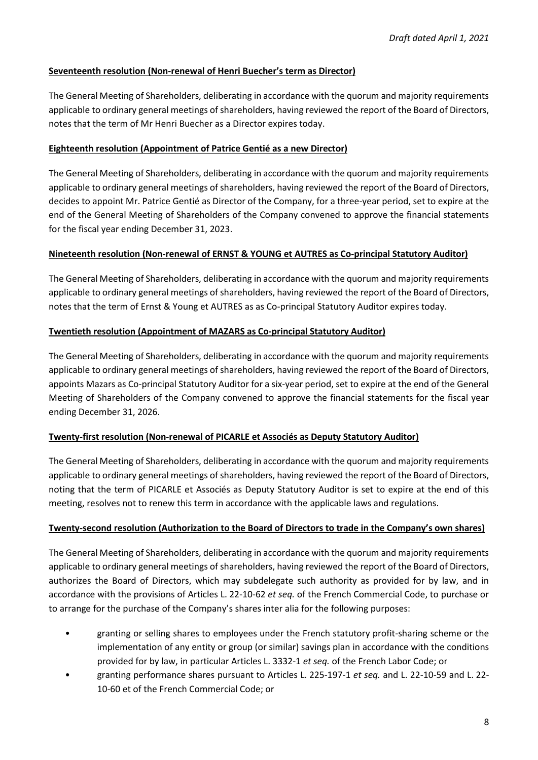### **Seventeenth resolution (Non-renewal of Henri Buecher's term as Director)**

The General Meeting of Shareholders, deliberating in accordance with the quorum and majority requirements applicable to ordinary general meetings of shareholders, having reviewed the report of the Board of Directors, notes that the term of Mr Henri Buecher as a Director expires today.

### **Eighteenth resolution (Appointment of Patrice Gentié as a new Director)**

The General Meeting of Shareholders, deliberating in accordance with the quorum and majority requirements applicable to ordinary general meetings of shareholders, having reviewed the report of the Board of Directors, decides to appoint Mr. Patrice Gentié as Director of the Company, for a three-year period, set to expire at the end of the General Meeting of Shareholders of the Company convened to approve the financial statements for the fiscal year ending December 31, 2023.

### **Nineteenth resolution (Non-renewal of ERNST & YOUNG et AUTRES as Co-principal Statutory Auditor)**

The General Meeting of Shareholders, deliberating in accordance with the quorum and majority requirements applicable to ordinary general meetings of shareholders, having reviewed the report of the Board of Directors, notes that the term of Ernst & Young et AUTRES as as Co-principal Statutory Auditor expires today.

### **Twentieth resolution (Appointment of MAZARS as Co-principal Statutory Auditor)**

The General Meeting of Shareholders, deliberating in accordance with the quorum and majority requirements applicable to ordinary general meetings of shareholders, having reviewed the report of the Board of Directors, appoints Mazars as Co-principal Statutory Auditor for a six-year period, set to expire at the end of the General Meeting of Shareholders of the Company convened to approve the financial statements for the fiscal year ending December 31, 2026.

### **Twenty-first resolution (Non-renewal of PICARLE et Associés as Deputy Statutory Auditor)**

The General Meeting of Shareholders, deliberating in accordance with the quorum and majority requirements applicable to ordinary general meetings of shareholders, having reviewed the report of the Board of Directors, noting that the term of PICARLE et Associés as Deputy Statutory Auditor is set to expire at the end of this meeting, resolves not to renew this term in accordance with the applicable laws and regulations.

### **Twenty-second resolution (Authorization to the Board of Directors to trade in the Company's own shares)**

The General Meeting of Shareholders, deliberating in accordance with the quorum and majority requirements applicable to ordinary general meetings of shareholders, having reviewed the report of the Board of Directors, authorizes the Board of Directors, which may subdelegate such authority as provided for by law, and in accordance with the provisions of Articles L. 22-10-62 *et seq.* of the French Commercial Code, to purchase or to arrange for the purchase of the Company's shares inter alia for the following purposes:

- granting or selling shares to employees under the French statutory profit-sharing scheme or the implementation of any entity or group (or similar) savings plan in accordance with the conditions provided for by law, in particular Articles L. 3332-1 *et seq.* of the French Labor Code; or
- granting performance shares pursuant to Articles L. 225-197-1 *et seq.* and L. 22-10-59 and L. 22- 10-60 et of the French Commercial Code; or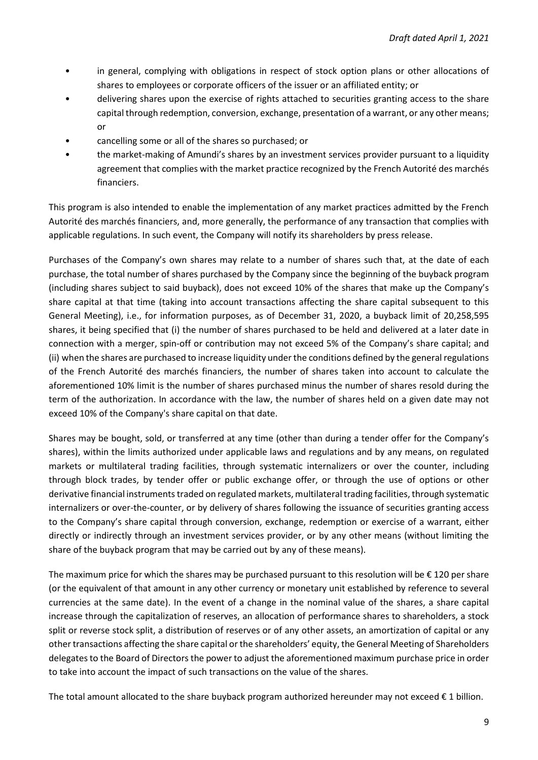- in general, complying with obligations in respect of stock option plans or other allocations of shares to employees or corporate officers of the issuer or an affiliated entity; or
- delivering shares upon the exercise of rights attached to securities granting access to the share capital through redemption, conversion, exchange, presentation of a warrant, or any other means; or
- cancelling some or all of the shares so purchased; or
- the market-making of Amundi's shares by an investment services provider pursuant to a liquidity agreement that complies with the market practice recognized by the French Autorité des marchés financiers.

This program is also intended to enable the implementation of any market practices admitted by the French Autorité des marchés financiers, and, more generally, the performance of any transaction that complies with applicable regulations. In such event, the Company will notify its shareholders by press release.

Purchases of the Company's own shares may relate to a number of shares such that, at the date of each purchase, the total number of shares purchased by the Company since the beginning of the buyback program (including shares subject to said buyback), does not exceed 10% of the shares that make up the Company's share capital at that time (taking into account transactions affecting the share capital subsequent to this General Meeting), i.e., for information purposes, as of December 31, 2020, a buyback limit of 20,258,595 shares, it being specified that (i) the number of shares purchased to be held and delivered at a later date in connection with a merger, spin-off or contribution may not exceed 5% of the Company's share capital; and (ii) when the shares are purchased to increase liquidity under the conditions defined by the general regulations of the French Autorité des marchés financiers, the number of shares taken into account to calculate the aforementioned 10% limit is the number of shares purchased minus the number of shares resold during the term of the authorization. In accordance with the law, the number of shares held on a given date may not exceed 10% of the Company's share capital on that date.

Shares may be bought, sold, or transferred at any time (other than during a tender offer for the Company's shares), within the limits authorized under applicable laws and regulations and by any means, on regulated markets or multilateral trading facilities, through systematic internalizers or over the counter, including through block trades, by tender offer or public exchange offer, or through the use of options or other derivative financial instruments traded on regulated markets, multilateral trading facilities, through systematic internalizers or over-the-counter, or by delivery of shares following the issuance of securities granting access to the Company's share capital through conversion, exchange, redemption or exercise of a warrant, either directly or indirectly through an investment services provider, or by any other means (without limiting the share of the buyback program that may be carried out by any of these means).

The maximum price for which the shares may be purchased pursuant to this resolution will be € 120 per share (or the equivalent of that amount in any other currency or monetary unit established by reference to several currencies at the same date). In the event of a change in the nominal value of the shares, a share capital increase through the capitalization of reserves, an allocation of performance shares to shareholders, a stock split or reverse stock split, a distribution of reserves or of any other assets, an amortization of capital or any other transactions affecting the share capital or the shareholders' equity, the General Meeting of Shareholders delegates to the Board of Directors the power to adjust the aforementioned maximum purchase price in order to take into account the impact of such transactions on the value of the shares.

The total amount allocated to the share buyback program authorized hereunder may not exceed  $\epsilon$  1 billion.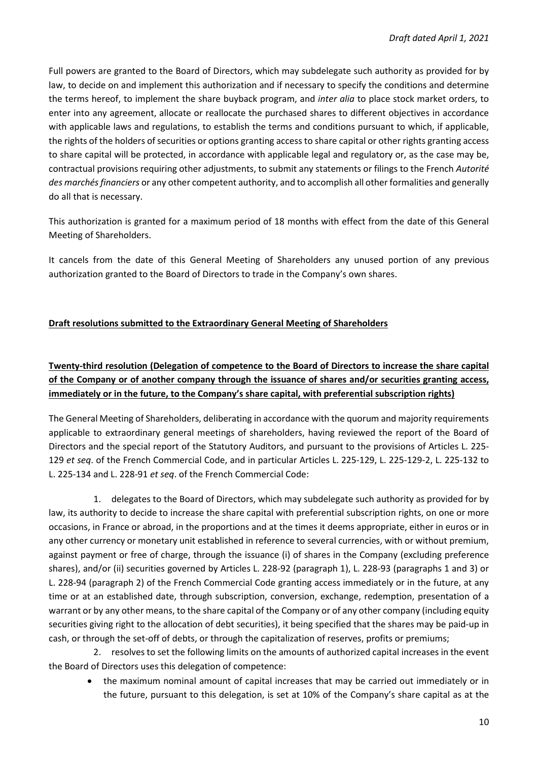Full powers are granted to the Board of Directors, which may subdelegate such authority as provided for by law, to decide on and implement this authorization and if necessary to specify the conditions and determine the terms hereof, to implement the share buyback program, and *inter alia* to place stock market orders, to enter into any agreement, allocate or reallocate the purchased shares to different objectives in accordance with applicable laws and regulations, to establish the terms and conditions pursuant to which, if applicable, the rights of the holders of securities or options granting access to share capital or other rights granting access to share capital will be protected, in accordance with applicable legal and regulatory or, as the case may be, contractual provisions requiring other adjustments, to submit any statements or filings to the French *Autorité des marchés financiers* or any other competent authority, and to accomplish all other formalities and generally do all that is necessary.

This authorization is granted for a maximum period of 18 months with effect from the date of this General Meeting of Shareholders.

It cancels from the date of this General Meeting of Shareholders any unused portion of any previous authorization granted to the Board of Directors to trade in the Company's own shares.

## **Draft resolutions submitted to the Extraordinary General Meeting of Shareholders**

# **Twenty-third resolution (Delegation of competence to the Board of Directors to increase the share capital of the Company or of another company through the issuance of shares and/or securities granting access, immediately or in the future, to the Company's share capital, with preferential subscription rights)**

The General Meeting of Shareholders, deliberating in accordance with the quorum and majority requirements applicable to extraordinary general meetings of shareholders, having reviewed the report of the Board of Directors and the special report of the Statutory Auditors, and pursuant to the provisions of Articles L. 225- 129 *et seq*. of the French Commercial Code, and in particular Articles L. 225-129, L. 225-129-2, L. 225-132 to L. 225-134 and L. 228-91 *et seq*. of the French Commercial Code:

1. delegates to the Board of Directors, which may subdelegate such authority as provided for by law, its authority to decide to increase the share capital with preferential subscription rights, on one or more occasions, in France or abroad, in the proportions and at the times it deems appropriate, either in euros or in any other currency or monetary unit established in reference to several currencies, with or without premium, against payment or free of charge, through the issuance (i) of shares in the Company (excluding preference shares), and/or (ii) securities governed by Articles L. 228-92 (paragraph 1), L. 228-93 (paragraphs 1 and 3) or L. 228-94 (paragraph 2) of the French Commercial Code granting access immediately or in the future, at any time or at an established date, through subscription, conversion, exchange, redemption, presentation of a warrant or by any other means, to the share capital of the Company or of any other company (including equity securities giving right to the allocation of debt securities), it being specified that the shares may be paid-up in cash, or through the set-off of debts, or through the capitalization of reserves, profits or premiums;

2. resolves to set the following limits on the amounts of authorized capital increases in the event the Board of Directors uses this delegation of competence:

 the maximum nominal amount of capital increases that may be carried out immediately or in the future, pursuant to this delegation, is set at 10% of the Company's share capital as at the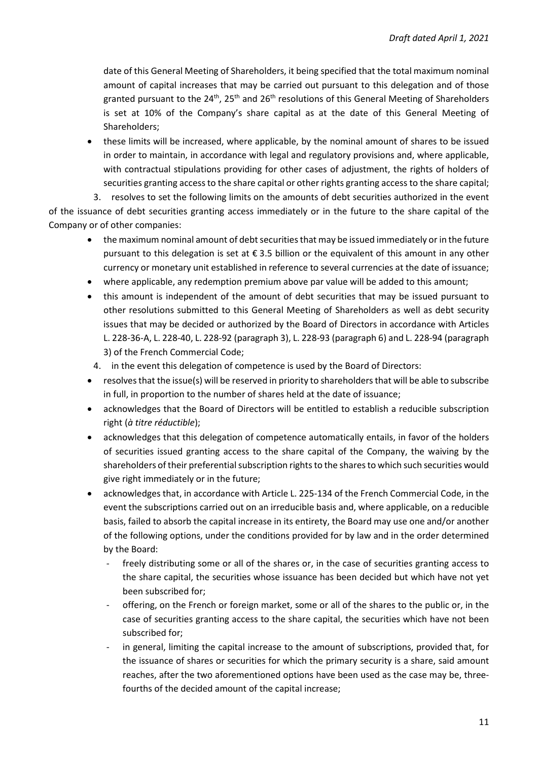date of this General Meeting of Shareholders, it being specified that the total maximum nominal amount of capital increases that may be carried out pursuant to this delegation and of those granted pursuant to the  $24^{th}$ ,  $25^{th}$  and  $26^{th}$  resolutions of this General Meeting of Shareholders is set at 10% of the Company's share capital as at the date of this General Meeting of Shareholders;

 these limits will be increased, where applicable, by the nominal amount of shares to be issued in order to maintain, in accordance with legal and regulatory provisions and, where applicable, with contractual stipulations providing for other cases of adjustment, the rights of holders of securities granting access to the share capital or other rights granting access to the share capital;

3. resolves to set the following limits on the amounts of debt securities authorized in the event of the issuance of debt securities granting access immediately or in the future to the share capital of the Company or of other companies:

- the maximum nominal amount of debt securities that may be issued immediately or in the future pursuant to this delegation is set at  $\epsilon$  3.5 billion or the equivalent of this amount in any other currency or monetary unit established in reference to several currencies at the date of issuance;
- where applicable, any redemption premium above par value will be added to this amount;
- this amount is independent of the amount of debt securities that may be issued pursuant to other resolutions submitted to this General Meeting of Shareholders as well as debt security issues that may be decided or authorized by the Board of Directors in accordance with Articles L. 228-36-A, L. 228-40, L. 228-92 (paragraph 3), L. 228-93 (paragraph 6) and L. 228-94 (paragraph 3) of the French Commercial Code;
- 4. in the event this delegation of competence is used by the Board of Directors:
- resolves that the issue(s) will be reserved in priority to shareholders that will be able to subscribe in full, in proportion to the number of shares held at the date of issuance;
- acknowledges that the Board of Directors will be entitled to establish a reducible subscription right (*à titre réductible*);
- acknowledges that this delegation of competence automatically entails, in favor of the holders of securities issued granting access to the share capital of the Company, the waiving by the shareholders of their preferential subscription rights to the shares to which such securities would give right immediately or in the future;
- acknowledges that, in accordance with Article L. 225-134 of the French Commercial Code, in the event the subscriptions carried out on an irreducible basis and, where applicable, on a reducible basis, failed to absorb the capital increase in its entirety, the Board may use one and/or another of the following options, under the conditions provided for by law and in the order determined by the Board:
	- freely distributing some or all of the shares or, in the case of securities granting access to the share capital, the securities whose issuance has been decided but which have not yet been subscribed for;
	- offering, on the French or foreign market, some or all of the shares to the public or, in the case of securities granting access to the share capital, the securities which have not been subscribed for;
	- in general, limiting the capital increase to the amount of subscriptions, provided that, for the issuance of shares or securities for which the primary security is a share, said amount reaches, after the two aforementioned options have been used as the case may be, threefourths of the decided amount of the capital increase;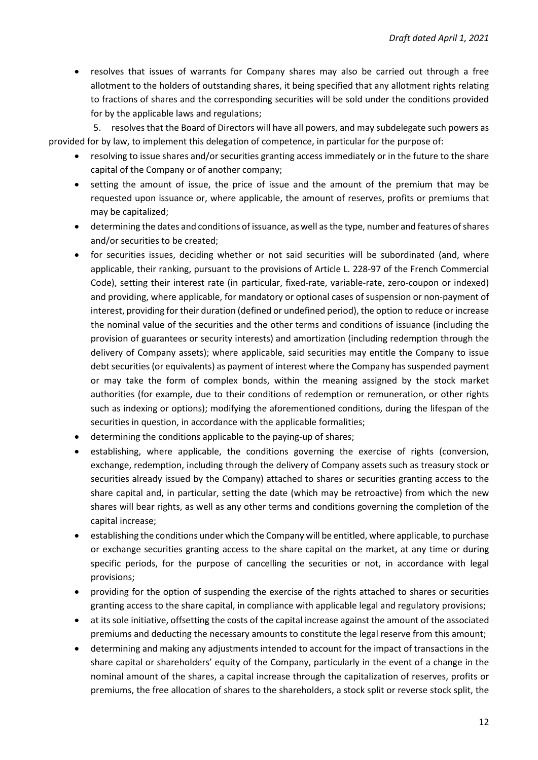resolves that issues of warrants for Company shares may also be carried out through a free allotment to the holders of outstanding shares, it being specified that any allotment rights relating to fractions of shares and the corresponding securities will be sold under the conditions provided for by the applicable laws and regulations;

5. resolves that the Board of Directors will have all powers, and may subdelegate such powers as provided for by law, to implement this delegation of competence, in particular for the purpose of:

- resolving to issue shares and/or securities granting access immediately or in the future to the share capital of the Company or of another company;
- setting the amount of issue, the price of issue and the amount of the premium that may be requested upon issuance or, where applicable, the amount of reserves, profits or premiums that may be capitalized;
- determining the dates and conditions of issuance, as well as the type, number and features of shares and/or securities to be created;
- for securities issues, deciding whether or not said securities will be subordinated (and, where applicable, their ranking, pursuant to the provisions of Article L. 228-97 of the French Commercial Code), setting their interest rate (in particular, fixed-rate, variable-rate, zero-coupon or indexed) and providing, where applicable, for mandatory or optional cases of suspension or non-payment of interest, providing for their duration (defined or undefined period), the option to reduce or increase the nominal value of the securities and the other terms and conditions of issuance (including the provision of guarantees or security interests) and amortization (including redemption through the delivery of Company assets); where applicable, said securities may entitle the Company to issue debt securities (or equivalents) as payment of interest where the Company has suspended payment or may take the form of complex bonds, within the meaning assigned by the stock market authorities (for example, due to their conditions of redemption or remuneration, or other rights such as indexing or options); modifying the aforementioned conditions, during the lifespan of the securities in question, in accordance with the applicable formalities;
- determining the conditions applicable to the paying-up of shares;
- establishing, where applicable, the conditions governing the exercise of rights (conversion, exchange, redemption, including through the delivery of Company assets such as treasury stock or securities already issued by the Company) attached to shares or securities granting access to the share capital and, in particular, setting the date (which may be retroactive) from which the new shares will bear rights, as well as any other terms and conditions governing the completion of the capital increase;
- establishing the conditions under which the Company will be entitled, where applicable, to purchase or exchange securities granting access to the share capital on the market, at any time or during specific periods, for the purpose of cancelling the securities or not, in accordance with legal provisions;
- providing for the option of suspending the exercise of the rights attached to shares or securities granting access to the share capital, in compliance with applicable legal and regulatory provisions;
- at its sole initiative, offsetting the costs of the capital increase against the amount of the associated premiums and deducting the necessary amounts to constitute the legal reserve from this amount;
- determining and making any adjustments intended to account for the impact of transactions in the share capital or shareholders' equity of the Company, particularly in the event of a change in the nominal amount of the shares, a capital increase through the capitalization of reserves, profits or premiums, the free allocation of shares to the shareholders, a stock split or reverse stock split, the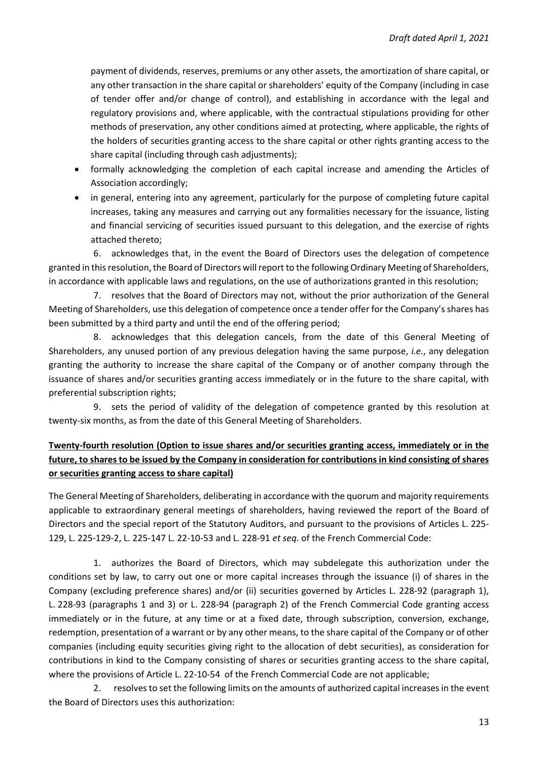payment of dividends, reserves, premiums or any other assets, the amortization of share capital, or any other transaction in the share capital or shareholders' equity of the Company (including in case of tender offer and/or change of control), and establishing in accordance with the legal and regulatory provisions and, where applicable, with the contractual stipulations providing for other methods of preservation, any other conditions aimed at protecting, where applicable, the rights of the holders of securities granting access to the share capital or other rights granting access to the share capital (including through cash adjustments);

- formally acknowledging the completion of each capital increase and amending the Articles of Association accordingly;
- in general, entering into any agreement, particularly for the purpose of completing future capital increases, taking any measures and carrying out any formalities necessary for the issuance, listing and financial servicing of securities issued pursuant to this delegation, and the exercise of rights attached thereto;

6. acknowledges that, in the event the Board of Directors uses the delegation of competence granted in this resolution, the Board of Directors will report to the following Ordinary Meeting of Shareholders, in accordance with applicable laws and regulations, on the use of authorizations granted in this resolution;

7. resolves that the Board of Directors may not, without the prior authorization of the General Meeting of Shareholders, use this delegation of competence once a tender offer for the Company's shares has been submitted by a third party and until the end of the offering period;

8. acknowledges that this delegation cancels, from the date of this General Meeting of Shareholders, any unused portion of any previous delegation having the same purpose, *i.e.*, any delegation granting the authority to increase the share capital of the Company or of another company through the issuance of shares and/or securities granting access immediately or in the future to the share capital, with preferential subscription rights;

9. sets the period of validity of the delegation of competence granted by this resolution at twenty-six months, as from the date of this General Meeting of Shareholders.

# **Twenty-fourth resolution (Option to issue shares and/or securities granting access, immediately or in the future, to shares to be issued by the Company in consideration for contributions in kind consisting of shares or securities granting access to share capital)**

The General Meeting of Shareholders, deliberating in accordance with the quorum and majority requirements applicable to extraordinary general meetings of shareholders, having reviewed the report of the Board of Directors and the special report of the Statutory Auditors, and pursuant to the provisions of Articles L. 225- 129, L. 225-129-2, L. 225-147 L. 22-10-53 and L. 228-91 *et seq*. of the French Commercial Code:

1. authorizes the Board of Directors, which may subdelegate this authorization under the conditions set by law, to carry out one or more capital increases through the issuance (i) of shares in the Company (excluding preference shares) and/or (ii) securities governed by Articles L. 228-92 (paragraph 1), L. 228-93 (paragraphs 1 and 3) or L. 228-94 (paragraph 2) of the French Commercial Code granting access immediately or in the future, at any time or at a fixed date, through subscription, conversion, exchange, redemption, presentation of a warrant or by any other means, to the share capital of the Company or of other companies (including equity securities giving right to the allocation of debt securities), as consideration for contributions in kind to the Company consisting of shares or securities granting access to the share capital, where the provisions of Article L. 22-10-54 of the French Commercial Code are not applicable;

2. resolves to set the following limits on the amounts of authorized capital increases in the event the Board of Directors uses this authorization: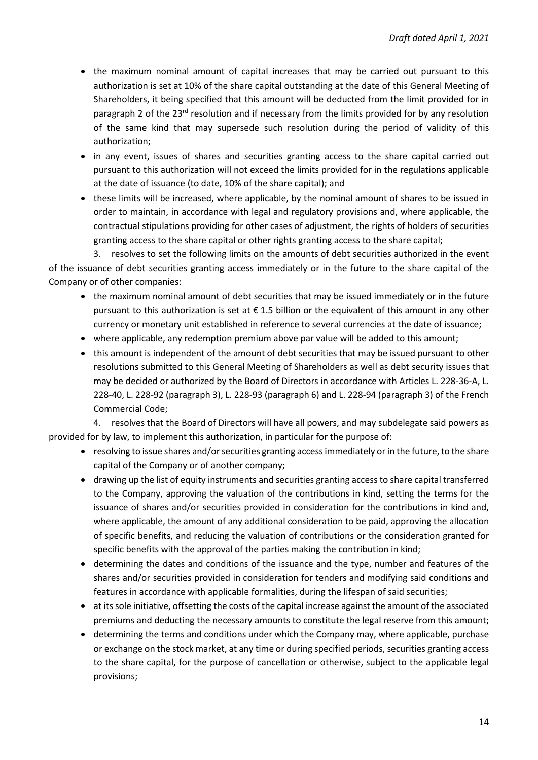- the maximum nominal amount of capital increases that may be carried out pursuant to this authorization is set at 10% of the share capital outstanding at the date of this General Meeting of Shareholders, it being specified that this amount will be deducted from the limit provided for in paragraph 2 of the 23<sup>rd</sup> resolution and if necessary from the limits provided for by any resolution of the same kind that may supersede such resolution during the period of validity of this authorization;
- in any event, issues of shares and securities granting access to the share capital carried out pursuant to this authorization will not exceed the limits provided for in the regulations applicable at the date of issuance (to date, 10% of the share capital); and
- these limits will be increased, where applicable, by the nominal amount of shares to be issued in order to maintain, in accordance with legal and regulatory provisions and, where applicable, the contractual stipulations providing for other cases of adjustment, the rights of holders of securities granting access to the share capital or other rights granting access to the share capital;

3. resolves to set the following limits on the amounts of debt securities authorized in the event of the issuance of debt securities granting access immediately or in the future to the share capital of the Company or of other companies:

- the maximum nominal amount of debt securities that may be issued immediately or in the future pursuant to this authorization is set at € 1.5 billion or the equivalent of this amount in any other currency or monetary unit established in reference to several currencies at the date of issuance;
- where applicable, any redemption premium above par value will be added to this amount;
- this amount is independent of the amount of debt securities that may be issued pursuant to other resolutions submitted to this General Meeting of Shareholders as well as debt security issues that may be decided or authorized by the Board of Directors in accordance with Articles L. 228-36-A, L. 228-40, L. 228-92 (paragraph 3), L. 228-93 (paragraph 6) and L. 228-94 (paragraph 3) of the French Commercial Code;

4. resolves that the Board of Directors will have all powers, and may subdelegate said powers as provided for by law, to implement this authorization, in particular for the purpose of:

- resolving to issue shares and/or securities granting access immediately or in the future, to the share capital of the Company or of another company;
- drawing up the list of equity instruments and securities granting access to share capital transferred to the Company, approving the valuation of the contributions in kind, setting the terms for the issuance of shares and/or securities provided in consideration for the contributions in kind and, where applicable, the amount of any additional consideration to be paid, approving the allocation of specific benefits, and reducing the valuation of contributions or the consideration granted for specific benefits with the approval of the parties making the contribution in kind;
- determining the dates and conditions of the issuance and the type, number and features of the shares and/or securities provided in consideration for tenders and modifying said conditions and features in accordance with applicable formalities, during the lifespan of said securities;
- at its sole initiative, offsetting the costs of the capital increase against the amount of the associated premiums and deducting the necessary amounts to constitute the legal reserve from this amount;
- determining the terms and conditions under which the Company may, where applicable, purchase or exchange on the stock market, at any time or during specified periods, securities granting access to the share capital, for the purpose of cancellation or otherwise, subject to the applicable legal provisions;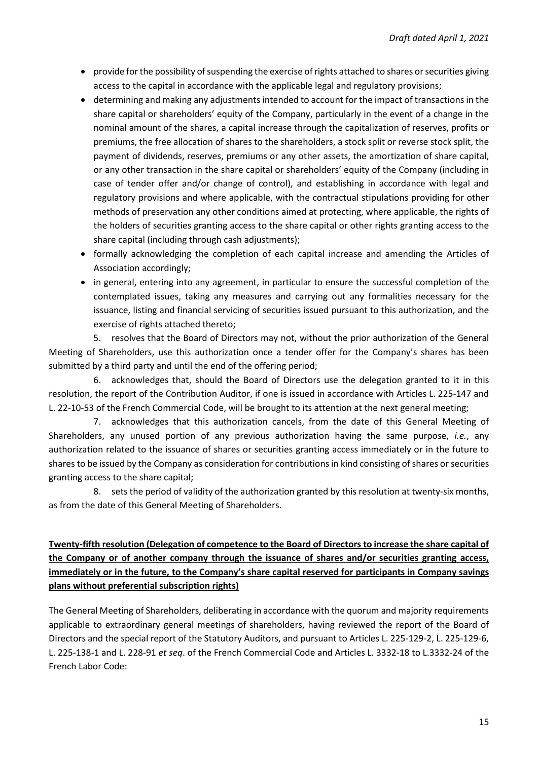- provide for the possibility of suspending the exercise of rights attached to shares or securities giving access to the capital in accordance with the applicable legal and regulatory provisions;
- determining and making any adjustments intended to account for the impact of transactions in the share capital or shareholders' equity of the Company, particularly in the event of a change in the nominal amount of the shares, a capital increase through the capitalization of reserves, profits or premiums, the free allocation of shares to the shareholders, a stock split or reverse stock split, the payment of dividends, reserves, premiums or any other assets, the amortization of share capital, or any other transaction in the share capital or shareholders' equity of the Company (including in case of tender offer and/or change of control), and establishing in accordance with legal and regulatory provisions and where applicable, with the contractual stipulations providing for other methods of preservation any other conditions aimed at protecting, where applicable, the rights of the holders of securities granting access to the share capital or other rights granting access to the share capital (including through cash adjustments);
- formally acknowledging the completion of each capital increase and amending the Articles of Association accordingly;
- in general, entering into any agreement, in particular to ensure the successful completion of the contemplated issues, taking any measures and carrying out any formalities necessary for the issuance, listing and financial servicing of securities issued pursuant to this authorization, and the exercise of rights attached thereto;

5. resolves that the Board of Directors may not, without the prior authorization of the General Meeting of Shareholders, use this authorization once a tender offer for the Company's shares has been submitted by a third party and until the end of the offering period;

6. acknowledges that, should the Board of Directors use the delegation granted to it in this resolution, the report of the Contribution Auditor, if one is issued in accordance with Articles L. 225-147 and L. 22-10-53 of the French Commercial Code, will be brought to its attention at the next general meeting;

7. acknowledges that this authorization cancels, from the date of this General Meeting of Shareholders, any unused portion of any previous authorization having the same purpose, *i.e.*, any authorization related to the issuance of shares or securities granting access immediately or in the future to shares to be issued by the Company as consideration for contributions in kind consisting of shares or securities granting access to the share capital;

8. sets the period of validity of the authorization granted by this resolution at twenty-six months, as from the date of this General Meeting of Shareholders.

## **Twenty-fifth resolution (Delegation of competence to the Board of Directors to increase the share capital of the Company or of another company through the issuance of shares and/or securities granting access, immediately or in the future, to the Company's share capital reserved for participants in Company savings plans without preferential subscription rights)**

The General Meeting of Shareholders, deliberating in accordance with the quorum and majority requirements applicable to extraordinary general meetings of shareholders, having reviewed the report of the Board of Directors and the special report of the Statutory Auditors, and pursuant to Articles L. 225-129-2, L. 225-129-6, L. 225-138-1 and L. 228-91 *et seq*. of the French Commercial Code and Articles L. 3332-18 to L.3332-24 of the French Labor Code: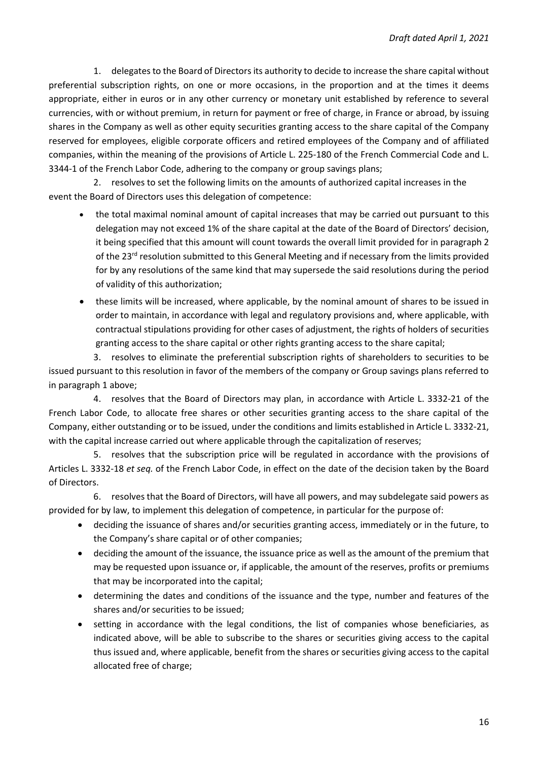1. delegates to the Board of Directors its authority to decide to increase the share capital without preferential subscription rights, on one or more occasions, in the proportion and at the times it deems appropriate, either in euros or in any other currency or monetary unit established by reference to several currencies, with or without premium, in return for payment or free of charge, in France or abroad, by issuing shares in the Company as well as other equity securities granting access to the share capital of the Company reserved for employees, eligible corporate officers and retired employees of the Company and of affiliated companies, within the meaning of the provisions of Article L. 225-180 of the French Commercial Code and L. 3344-1 of the French Labor Code, adhering to the company or group savings plans;

2. resolves to set the following limits on the amounts of authorized capital increases in the event the Board of Directors uses this delegation of competence:

- the total maximal nominal amount of capital increases that may be carried out pursuant to this delegation may not exceed 1% of the share capital at the date of the Board of Directors' decision, it being specified that this amount will count towards the overall limit provided for in paragraph 2 of the 23<sup>rd</sup> resolution submitted to this General Meeting and if necessary from the limits provided for by any resolutions of the same kind that may supersede the said resolutions during the period of validity of this authorization;
- these limits will be increased, where applicable, by the nominal amount of shares to be issued in order to maintain, in accordance with legal and regulatory provisions and, where applicable, with contractual stipulations providing for other cases of adjustment, the rights of holders of securities granting access to the share capital or other rights granting access to the share capital;

3. resolves to eliminate the preferential subscription rights of shareholders to securities to be issued pursuant to this resolution in favor of the members of the company or Group savings plans referred to in paragraph 1 above;

4. resolves that the Board of Directors may plan, in accordance with Article L. 3332-21 of the French Labor Code, to allocate free shares or other securities granting access to the share capital of the Company, either outstanding or to be issued, under the conditions and limits established in Article L. 3332-21, with the capital increase carried out where applicable through the capitalization of reserves;

5. resolves that the subscription price will be regulated in accordance with the provisions of Articles L. 3332-18 *et seq.* of the French Labor Code, in effect on the date of the decision taken by the Board of Directors.

6. resolves that the Board of Directors, will have all powers, and may subdelegate said powers as provided for by law, to implement this delegation of competence, in particular for the purpose of:

- deciding the issuance of shares and/or securities granting access, immediately or in the future, to the Company's share capital or of other companies;
- deciding the amount of the issuance, the issuance price as well as the amount of the premium that may be requested upon issuance or, if applicable, the amount of the reserves, profits or premiums that may be incorporated into the capital;
- determining the dates and conditions of the issuance and the type, number and features of the shares and/or securities to be issued;
- setting in accordance with the legal conditions, the list of companies whose beneficiaries, as indicated above, will be able to subscribe to the shares or securities giving access to the capital thus issued and, where applicable, benefit from the shares or securities giving access to the capital allocated free of charge;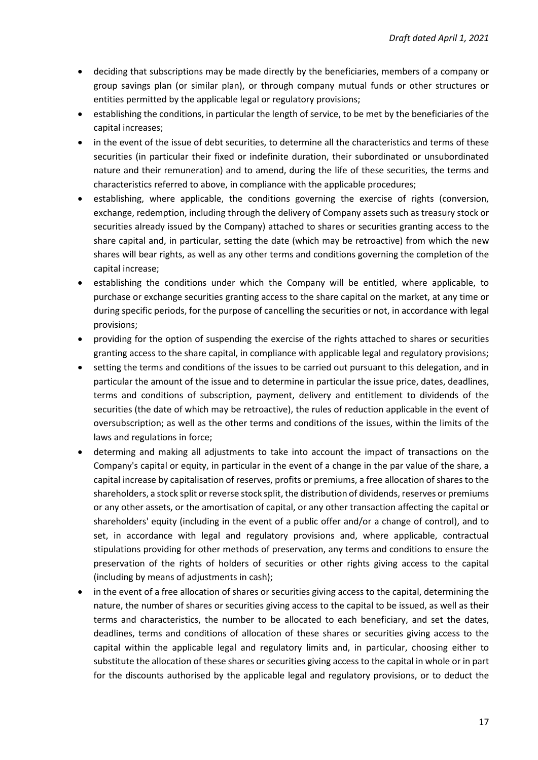- deciding that subscriptions may be made directly by the beneficiaries, members of a company or group savings plan (or similar plan), or through company mutual funds or other structures or entities permitted by the applicable legal or regulatory provisions;
- establishing the conditions, in particular the length of service, to be met by the beneficiaries of the capital increases;
- in the event of the issue of debt securities, to determine all the characteristics and terms of these securities (in particular their fixed or indefinite duration, their subordinated or unsubordinated nature and their remuneration) and to amend, during the life of these securities, the terms and characteristics referred to above, in compliance with the applicable procedures;
- establishing, where applicable, the conditions governing the exercise of rights (conversion, exchange, redemption, including through the delivery of Company assets such as treasury stock or securities already issued by the Company) attached to shares or securities granting access to the share capital and, in particular, setting the date (which may be retroactive) from which the new shares will bear rights, as well as any other terms and conditions governing the completion of the capital increase;
- establishing the conditions under which the Company will be entitled, where applicable, to purchase or exchange securities granting access to the share capital on the market, at any time or during specific periods, for the purpose of cancelling the securities or not, in accordance with legal provisions;
- providing for the option of suspending the exercise of the rights attached to shares or securities granting access to the share capital, in compliance with applicable legal and regulatory provisions;
- setting the terms and conditions of the issues to be carried out pursuant to this delegation, and in particular the amount of the issue and to determine in particular the issue price, dates, deadlines, terms and conditions of subscription, payment, delivery and entitlement to dividends of the securities (the date of which may be retroactive), the rules of reduction applicable in the event of oversubscription; as well as the other terms and conditions of the issues, within the limits of the laws and regulations in force;
- determing and making all adjustments to take into account the impact of transactions on the Company's capital or equity, in particular in the event of a change in the par value of the share, a capital increase by capitalisation of reserves, profits or premiums, a free allocation of shares to the shareholders, a stock split or reverse stock split, the distribution of dividends, reserves or premiums or any other assets, or the amortisation of capital, or any other transaction affecting the capital or shareholders' equity (including in the event of a public offer and/or a change of control), and to set, in accordance with legal and regulatory provisions and, where applicable, contractual stipulations providing for other methods of preservation, any terms and conditions to ensure the preservation of the rights of holders of securities or other rights giving access to the capital (including by means of adjustments in cash);
- in the event of a free allocation of shares or securities giving access to the capital, determining the nature, the number of shares or securities giving access to the capital to be issued, as well as their terms and characteristics, the number to be allocated to each beneficiary, and set the dates, deadlines, terms and conditions of allocation of these shares or securities giving access to the capital within the applicable legal and regulatory limits and, in particular, choosing either to substitute the allocation of these shares or securities giving access to the capital in whole or in part for the discounts authorised by the applicable legal and regulatory provisions, or to deduct the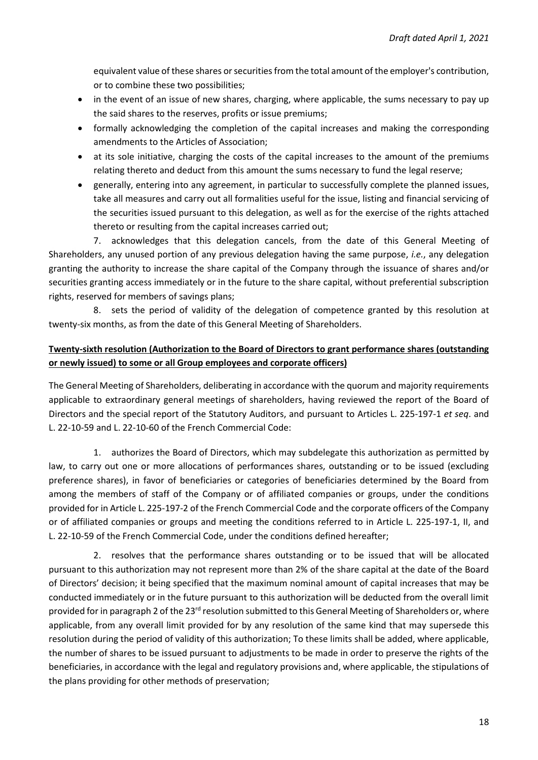equivalent value of these shares or securities from the total amount of the employer's contribution, or to combine these two possibilities;

- in the event of an issue of new shares, charging, where applicable, the sums necessary to pay up the said shares to the reserves, profits or issue premiums;
- formally acknowledging the completion of the capital increases and making the corresponding amendments to the Articles of Association;
- at its sole initiative, charging the costs of the capital increases to the amount of the premiums relating thereto and deduct from this amount the sums necessary to fund the legal reserve;
- generally, entering into any agreement, in particular to successfully complete the planned issues, take all measures and carry out all formalities useful for the issue, listing and financial servicing of the securities issued pursuant to this delegation, as well as for the exercise of the rights attached thereto or resulting from the capital increases carried out;

7. acknowledges that this delegation cancels, from the date of this General Meeting of Shareholders, any unused portion of any previous delegation having the same purpose, *i.e.*, any delegation granting the authority to increase the share capital of the Company through the issuance of shares and/or securities granting access immediately or in the future to the share capital, without preferential subscription rights, reserved for members of savings plans;

8. sets the period of validity of the delegation of competence granted by this resolution at twenty-six months, as from the date of this General Meeting of Shareholders.

## **Twenty-sixth resolution (Authorization to the Board of Directors to grant performance shares (outstanding or newly issued) to some or all Group employees and corporate officers)**

The General Meeting of Shareholders, deliberating in accordance with the quorum and majority requirements applicable to extraordinary general meetings of shareholders, having reviewed the report of the Board of Directors and the special report of the Statutory Auditors, and pursuant to Articles L. 225-197-1 *et seq*. and L. 22-10-59 and L. 22-10-60 of the French Commercial Code:

1. authorizes the Board of Directors, which may subdelegate this authorization as permitted by law, to carry out one or more allocations of performances shares, outstanding or to be issued (excluding preference shares), in favor of beneficiaries or categories of beneficiaries determined by the Board from among the members of staff of the Company or of affiliated companies or groups, under the conditions provided for in Article L. 225-197-2 of the French Commercial Code and the corporate officers of the Company or of affiliated companies or groups and meeting the conditions referred to in Article L. 225-197-1, II, and L. 22-10-59 of the French Commercial Code, under the conditions defined hereafter;

2. resolves that the performance shares outstanding or to be issued that will be allocated pursuant to this authorization may not represent more than 2% of the share capital at the date of the Board of Directors' decision; it being specified that the maximum nominal amount of capital increases that may be conducted immediately or in the future pursuant to this authorization will be deducted from the overall limit provided for in paragraph 2 of the 23<sup>rd</sup> resolution submitted to this General Meeting of Shareholders or, where applicable, from any overall limit provided for by any resolution of the same kind that may supersede this resolution during the period of validity of this authorization; To these limits shall be added, where applicable, the number of shares to be issued pursuant to adjustments to be made in order to preserve the rights of the beneficiaries, in accordance with the legal and regulatory provisions and, where applicable, the stipulations of the plans providing for other methods of preservation;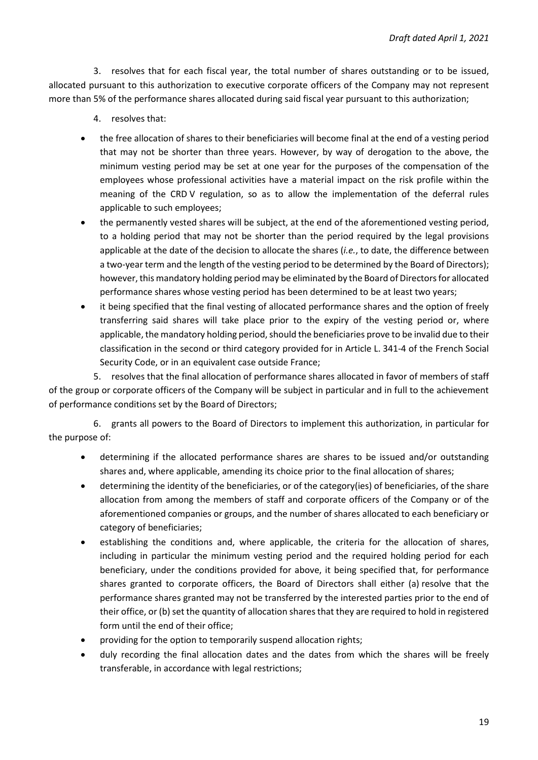3. resolves that for each fiscal year, the total number of shares outstanding or to be issued, allocated pursuant to this authorization to executive corporate officers of the Company may not represent more than 5% of the performance shares allocated during said fiscal year pursuant to this authorization;

- 4. resolves that:
- the free allocation of shares to their beneficiaries will become final at the end of a vesting period that may not be shorter than three years. However, by way of derogation to the above, the minimum vesting period may be set at one year for the purposes of the compensation of the employees whose professional activities have a material impact on the risk profile within the meaning of the CRD V regulation, so as to allow the implementation of the deferral rules applicable to such employees;
- the permanently vested shares will be subject, at the end of the aforementioned vesting period, to a holding period that may not be shorter than the period required by the legal provisions applicable at the date of the decision to allocate the shares (*i.e.*, to date, the difference between a two-year term and the length of the vesting period to be determined by the Board of Directors); however, this mandatory holding period may be eliminated by the Board of Directors for allocated performance shares whose vesting period has been determined to be at least two years;
- it being specified that the final vesting of allocated performance shares and the option of freely transferring said shares will take place prior to the expiry of the vesting period or, where applicable, the mandatory holding period, should the beneficiaries prove to be invalid due to their classification in the second or third category provided for in Article L. 341-4 of the French Social Security Code, or in an equivalent case outside France;

5. resolves that the final allocation of performance shares allocated in favor of members of staff of the group or corporate officers of the Company will be subject in particular and in full to the achievement of performance conditions set by the Board of Directors;

6. grants all powers to the Board of Directors to implement this authorization, in particular for the purpose of:

- determining if the allocated performance shares are shares to be issued and/or outstanding shares and, where applicable, amending its choice prior to the final allocation of shares;
- determining the identity of the beneficiaries, or of the category(ies) of beneficiaries, of the share allocation from among the members of staff and corporate officers of the Company or of the aforementioned companies or groups, and the number of shares allocated to each beneficiary or category of beneficiaries;
- establishing the conditions and, where applicable, the criteria for the allocation of shares, including in particular the minimum vesting period and the required holding period for each beneficiary, under the conditions provided for above, it being specified that, for performance shares granted to corporate officers, the Board of Directors shall either (a) resolve that the performance shares granted may not be transferred by the interested parties prior to the end of their office, or (b) set the quantity of allocation shares that they are required to hold in registered form until the end of their office;
- providing for the option to temporarily suspend allocation rights;
- duly recording the final allocation dates and the dates from which the shares will be freely transferable, in accordance with legal restrictions;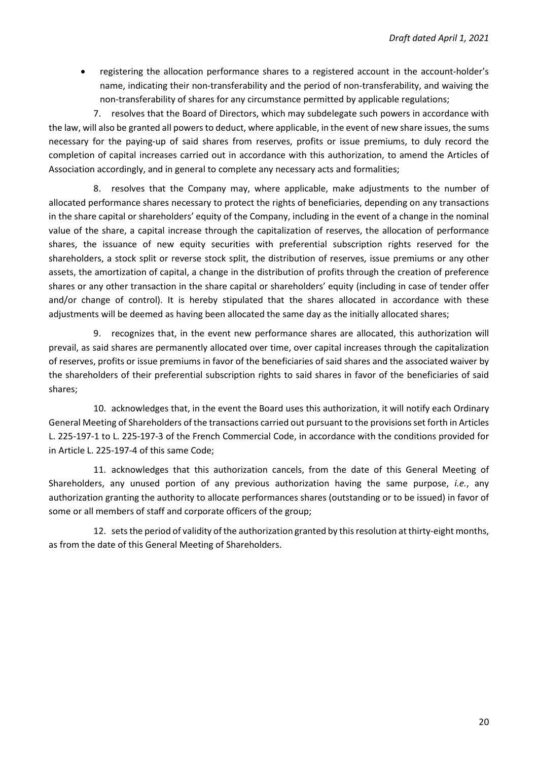registering the allocation performance shares to a registered account in the account-holder's name, indicating their non-transferability and the period of non-transferability, and waiving the non-transferability of shares for any circumstance permitted by applicable regulations;

7. resolves that the Board of Directors, which may subdelegate such powers in accordance with the law, will also be granted all powers to deduct, where applicable, in the event of new share issues, the sums necessary for the paying-up of said shares from reserves, profits or issue premiums, to duly record the completion of capital increases carried out in accordance with this authorization, to amend the Articles of Association accordingly, and in general to complete any necessary acts and formalities;

8. resolves that the Company may, where applicable, make adjustments to the number of allocated performance shares necessary to protect the rights of beneficiaries, depending on any transactions in the share capital or shareholders' equity of the Company, including in the event of a change in the nominal value of the share, a capital increase through the capitalization of reserves, the allocation of performance shares, the issuance of new equity securities with preferential subscription rights reserved for the shareholders, a stock split or reverse stock split, the distribution of reserves, issue premiums or any other assets, the amortization of capital, a change in the distribution of profits through the creation of preference shares or any other transaction in the share capital or shareholders' equity (including in case of tender offer and/or change of control). It is hereby stipulated that the shares allocated in accordance with these adjustments will be deemed as having been allocated the same day as the initially allocated shares;

9. recognizes that, in the event new performance shares are allocated, this authorization will prevail, as said shares are permanently allocated over time, over capital increases through the capitalization of reserves, profits or issue premiums in favor of the beneficiaries of said shares and the associated waiver by the shareholders of their preferential subscription rights to said shares in favor of the beneficiaries of said shares;

10. acknowledges that, in the event the Board uses this authorization, it will notify each Ordinary General Meeting of Shareholders of the transactions carried out pursuant to the provisions set forth in Articles L. 225-197-1 to L. 225-197-3 of the French Commercial Code, in accordance with the conditions provided for in Article L. 225-197-4 of this same Code;

11. acknowledges that this authorization cancels, from the date of this General Meeting of Shareholders, any unused portion of any previous authorization having the same purpose, *i.e.*, any authorization granting the authority to allocate performances shares (outstanding or to be issued) in favor of some or all members of staff and corporate officers of the group;

12. sets the period of validity of the authorization granted by this resolution at thirty-eight months, as from the date of this General Meeting of Shareholders.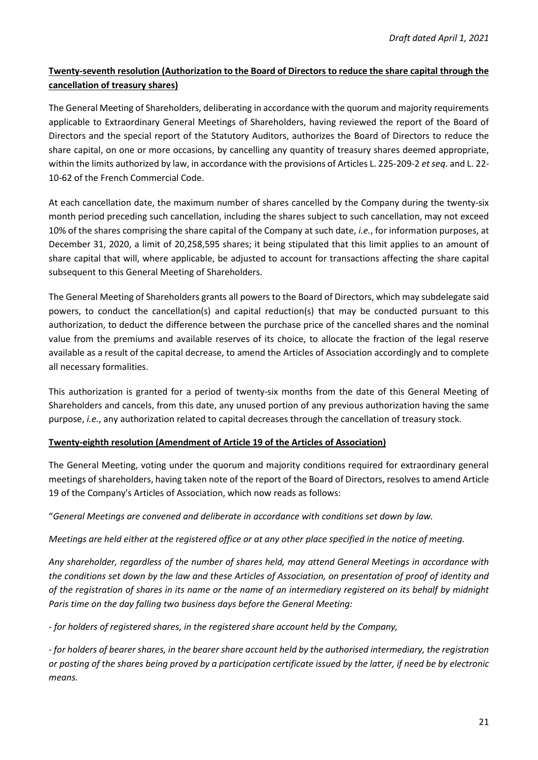## **Twenty-seventh resolution (Authorization to the Board of Directors to reduce the share capital through the cancellation of treasury shares)**

The General Meeting of Shareholders, deliberating in accordance with the quorum and majority requirements applicable to Extraordinary General Meetings of Shareholders, having reviewed the report of the Board of Directors and the special report of the Statutory Auditors, authorizes the Board of Directors to reduce the share capital, on one or more occasions, by cancelling any quantity of treasury shares deemed appropriate, within the limits authorized by law, in accordance with the provisions of Articles L. 225-209-2 *et seq*. and L. 22- 10-62 of the French Commercial Code.

At each cancellation date, the maximum number of shares cancelled by the Company during the twenty-six month period preceding such cancellation, including the shares subject to such cancellation, may not exceed 10% of the shares comprising the share capital of the Company at such date, *i.e.*, for information purposes, at December 31, 2020, a limit of 20,258,595 shares; it being stipulated that this limit applies to an amount of share capital that will, where applicable, be adjusted to account for transactions affecting the share capital subsequent to this General Meeting of Shareholders.

The General Meeting of Shareholders grants all powers to the Board of Directors, which may subdelegate said powers, to conduct the cancellation(s) and capital reduction(s) that may be conducted pursuant to this authorization, to deduct the difference between the purchase price of the cancelled shares and the nominal value from the premiums and available reserves of its choice, to allocate the fraction of the legal reserve available as a result of the capital decrease, to amend the Articles of Association accordingly and to complete all necessary formalities.

This authorization is granted for a period of twenty-six months from the date of this General Meeting of Shareholders and cancels, from this date, any unused portion of any previous authorization having the same purpose, *i.e.*, any authorization related to capital decreases through the cancellation of treasury stock.

### **Twenty-eighth resolution (Amendment of Article 19 of the Articles of Association)**

The General Meeting, voting under the quorum and majority conditions required for extraordinary general meetings of shareholders, having taken note of the report of the Board of Directors, resolves to amend Article 19 of the Company's Articles of Association, which now reads as follows:

"*General Meetings are convened and deliberate in accordance with conditions set down by law.* 

*Meetings are held either at the registered office or at any other place specified in the notice of meeting.* 

*Any shareholder, regardless of the number of shares held, may attend General Meetings in accordance with the conditions set down by the law and these Articles of Association, on presentation of proof of identity and of the registration of shares in its name or the name of an intermediary registered on its behalf by midnight Paris time on the day falling two business days before the General Meeting:* 

*- for holders of registered shares, in the registered share account held by the Company,* 

*- for holders of bearer shares, in the bearer share account held by the authorised intermediary, the registration or posting of the shares being proved by a participation certificate issued by the latter, if need be by electronic means.*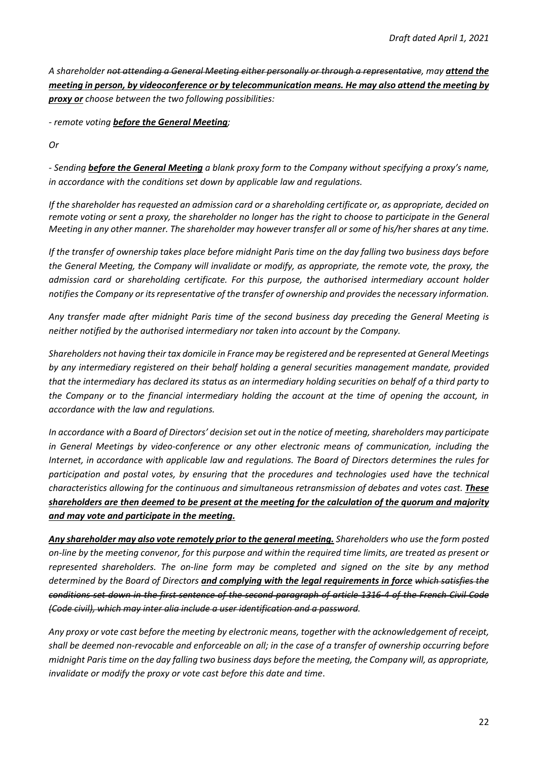*A shareholder not attending a General Meeting either personally or through a representative, may attend the meeting in person, by videoconference or by telecommunication means. He may also attend the meeting by proxy or choose between the two following possibilities:* 

*- remote voting before the General Meeting;* 

*Or* 

*- Sending before the General Meeting a blank proxy form to the Company without specifying a proxy's name, in accordance with the conditions set down by applicable law and regulations.* 

*If the shareholder has requested an admission card or a shareholding certificate or, as appropriate, decided on remote voting or sent a proxy, the shareholder no longer has the right to choose to participate in the General Meeting in any other manner. The shareholder may however transfer all or some of his/her shares at any time.* 

*If the transfer of ownership takes place before midnight Paris time on the day falling two business days before the General Meeting, the Company will invalidate or modify, as appropriate, the remote vote, the proxy, the admission card or shareholding certificate. For this purpose, the authorised intermediary account holder notifies the Company or its representative of the transfer of ownership and provides the necessary information.* 

*Any transfer made after midnight Paris time of the second business day preceding the General Meeting is neither notified by the authorised intermediary nor taken into account by the Company.* 

*Shareholders not having their tax domicile in France may be registered and be represented at General Meetings by any intermediary registered on their behalf holding a general securities management mandate, provided that the intermediary has declared its status as an intermediary holding securities on behalf of a third party to the Company or to the financial intermediary holding the account at the time of opening the account, in accordance with the law and regulations.* 

*In accordance with a Board of Directors' decision set out in the notice of meeting, shareholders may participate in General Meetings by video-conference or any other electronic means of communication, including the Internet, in accordance with applicable law and regulations. The Board of Directors determines the rules for participation and postal votes, by ensuring that the procedures and technologies used have the technical characteristics allowing for the continuous and simultaneous retransmission of debates and votes cast. These shareholders are then deemed to be present at the meeting for the calculation of the quorum and majority and may vote and participate in the meeting.* 

*Any shareholder may also vote remotely prior to the general meeting. Shareholders who use the form posted on-line by the meeting convenor, for this purpose and within the required time limits, are treated as present or represented shareholders. The on-line form may be completed and signed on the site by any method determined by the Board of Directors and complying with the legal requirements in force which satisfies the conditions set down in the first sentence of the second paragraph of article 1316-4 of the French Civil Code (Code civil), which may inter alia include a user identification and a password.*

*Any proxy or vote cast before the meeting by electronic means, together with the acknowledgement of receipt, shall be deemed non-revocable and enforceable on all; in the case of a transfer of ownership occurring before midnight Paris time on the day falling two business days before the meeting, the Company will, as appropriate, invalidate or modify the proxy or vote cast before this date and time*.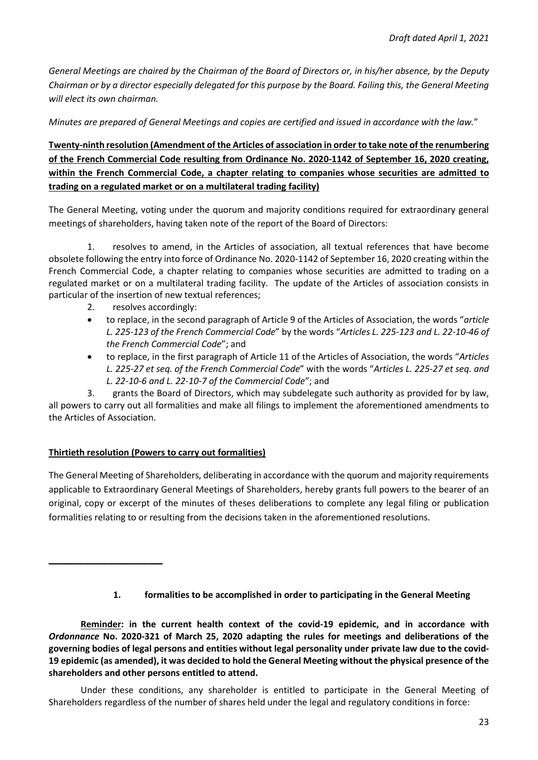*General Meetings are chaired by the Chairman of the Board of Directors or, in his/her absence, by the Deputy Chairman or by a director especially delegated for this purpose by the Board. Failing this, the General Meeting will elect its own chairman.* 

*Minutes are prepared of General Meetings and copies are certified and issued in accordance with the law.*"

**Twenty-ninth resolution (Amendment of the Articles of association in order to take note of the renumbering of the French Commercial Code resulting from Ordinance No. 2020-1142 of September 16, 2020 creating, within the French Commercial Code, a chapter relating to companies whose securities are admitted to trading on a regulated market or on a multilateral trading facility)** 

The General Meeting, voting under the quorum and majority conditions required for extraordinary general meetings of shareholders, having taken note of the report of the Board of Directors:

1. resolves to amend, in the Articles of association, all textual references that have become obsolete following the entry into force of Ordinance No. 2020-1142 of September 16, 2020 creating within the French Commercial Code, a chapter relating to companies whose securities are admitted to trading on a regulated market or on a multilateral trading facility. The update of the Articles of association consists in particular of the insertion of new textual references;

- 2. resolves accordingly:
- to replace, in the second paragraph of Article 9 of the Articles of Association, the words "*article L. 225-123 of the French Commercial Code*" by the words "*Articles L. 225-123 and L. 22-10-46 of the French Commercial Code*"; and
- to replace, in the first paragraph of Article 11 of the Articles of Association, the words "*Articles L. 225-27 et seq. of the French Commercial Code*" with the words "*Articles L. 225-27 et seq. and L. 22-10-6 and L. 22-10-7 of the Commercial Code*"; and

3. grants the Board of Directors, which may subdelegate such authority as provided for by law, all powers to carry out all formalities and make all filings to implement the aforementioned amendments to the Articles of Association.

### **Thirtieth resolution (Powers to carry out formalities)**

**\_\_\_\_\_\_\_\_\_\_\_\_\_\_\_\_\_\_\_\_\_\_\_** 

The General Meeting of Shareholders, deliberating in accordance with the quorum and majority requirements applicable to Extraordinary General Meetings of Shareholders, hereby grants full powers to the bearer of an original, copy or excerpt of the minutes of theses deliberations to complete any legal filing or publication formalities relating to or resulting from the decisions taken in the aforementioned resolutions.

### **1. formalities to be accomplished in order to participating in the General Meeting**

**Reminder: in the current health context of the covid-19 epidemic, and in accordance with**  *Ordonnance* **No. 2020-321 of March 25, 2020 adapting the rules for meetings and deliberations of the governing bodies of legal persons and entities without legal personality under private law due to the covid-19 epidemic (as amended), it was decided to hold the General Meeting without the physical presence of the shareholders and other persons entitled to attend.** 

Under these conditions, any shareholder is entitled to participate in the General Meeting of Shareholders regardless of the number of shares held under the legal and regulatory conditions in force: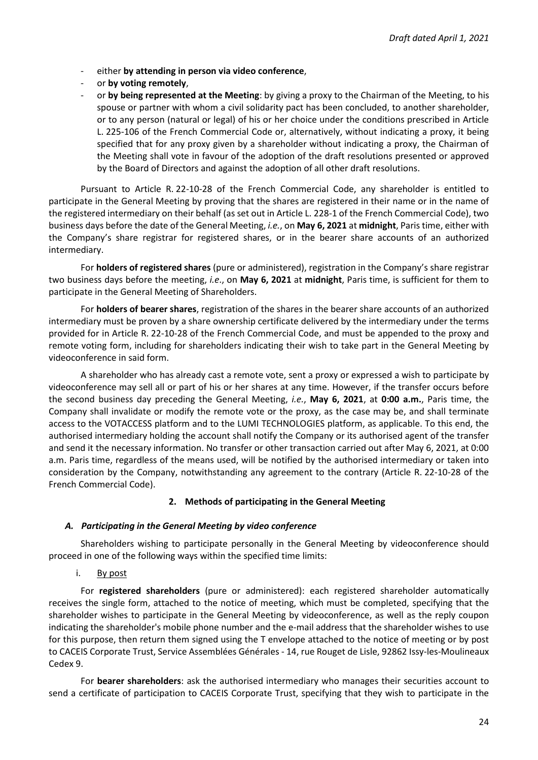- either **by attending in person via video conference**,
- or by voting remotely,
- or **by being represented at the Meeting**: by giving a proxy to the Chairman of the Meeting, to his spouse or partner with whom a civil solidarity pact has been concluded, to another shareholder, or to any person (natural or legal) of his or her choice under the conditions prescribed in Article L. 225-106 of the French Commercial Code or, alternatively, without indicating a proxy, it being specified that for any proxy given by a shareholder without indicating a proxy, the Chairman of the Meeting shall vote in favour of the adoption of the draft resolutions presented or approved by the Board of Directors and against the adoption of all other draft resolutions.

Pursuant to Article R. 22-10-28 of the French Commercial Code, any shareholder is entitled to participate in the General Meeting by proving that the shares are registered in their name or in the name of the registered intermediary on their behalf (as set out in Article L. 228-1 of the French Commercial Code), two business days before the date of the General Meeting, *i.e.*, on **May 6, 2021** at **midnight**, Paris time, either with the Company's share registrar for registered shares, or in the bearer share accounts of an authorized intermediary.

For **holders of registered shares** (pure or administered), registration in the Company's share registrar two business days before the meeting, *i.e*., on **May 6, 2021** at **midnight**, Paris time, is sufficient for them to participate in the General Meeting of Shareholders.

For **holders of bearer shares**, registration of the shares in the bearer share accounts of an authorized intermediary must be proven by a share ownership certificate delivered by the intermediary under the terms provided for in Article R. 22-10-28 of the French Commercial Code, and must be appended to the proxy and remote voting form, including for shareholders indicating their wish to take part in the General Meeting by videoconference in said form.

A shareholder who has already cast a remote vote, sent a proxy or expressed a wish to participate by videoconference may sell all or part of his or her shares at any time. However, if the transfer occurs before the second business day preceding the General Meeting, *i.e.*, **May 6, 2021**, at **0:00 a.m.**, Paris time, the Company shall invalidate or modify the remote vote or the proxy, as the case may be, and shall terminate access to the VOTACCESS platform and to the LUMI TECHNOLOGIES platform, as applicable. To this end, the authorised intermediary holding the account shall notify the Company or its authorised agent of the transfer and send it the necessary information. No transfer or other transaction carried out after May 6, 2021, at 0:00 a.m. Paris time, regardless of the means used, will be notified by the authorised intermediary or taken into consideration by the Company, notwithstanding any agreement to the contrary (Article R. 22-10-28 of the French Commercial Code).

### **2. Methods of participating in the General Meeting**

### *A. Participating in the General Meeting by video conference*

Shareholders wishing to participate personally in the General Meeting by videoconference should proceed in one of the following ways within the specified time limits:

i. By post

For **registered shareholders** (pure or administered): each registered shareholder automatically receives the single form, attached to the notice of meeting, which must be completed, specifying that the shareholder wishes to participate in the General Meeting by videoconference, as well as the reply coupon indicating the shareholder's mobile phone number and the e-mail address that the shareholder wishes to use for this purpose, then return them signed using the T envelope attached to the notice of meeting or by post to CACEIS Corporate Trust, Service Assemblées Générales - 14, rue Rouget de Lisle, 92862 Issy-les-Moulineaux Cedex 9.

For **bearer shareholders**: ask the authorised intermediary who manages their securities account to send a certificate of participation to CACEIS Corporate Trust, specifying that they wish to participate in the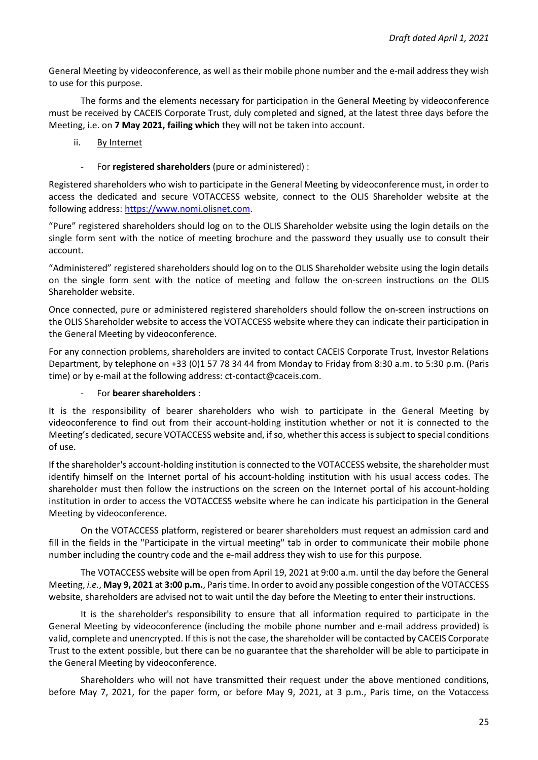General Meeting by videoconference, as well as their mobile phone number and the e-mail address they wish to use for this purpose.

The forms and the elements necessary for participation in the General Meeting by videoconference must be received by CACEIS Corporate Trust, duly completed and signed, at the latest three days before the Meeting, i.e. on **7 May 2021, failing which** they will not be taken into account.

### ii. By Internet

- For **registered shareholders** (pure or administered) :

Registered shareholders who wish to participate in the General Meeting by videoconference must, in order to access the dedicated and secure VOTACCESS website, connect to the OLIS Shareholder website at the following address: [https://www.nomi.olisnet.com.](https://www.nomi.olisnet.com/)

"Pure" registered shareholders should log on to the OLIS Shareholder website using the login details on the single form sent with the notice of meeting brochure and the password they usually use to consult their account.

"Administered" registered shareholders should log on to the OLIS Shareholder website using the login details on the single form sent with the notice of meeting and follow the on-screen instructions on the OLIS Shareholder website.

Once connected, pure or administered registered shareholders should follow the on-screen instructions on the OLIS Shareholder website to access the VOTACCESS website where they can indicate their participation in the General Meeting by videoconference.

For any connection problems, shareholders are invited to contact CACEIS Corporate Trust, Investor Relations Department, by telephone on +33 (0)1 57 78 34 44 from Monday to Friday from 8:30 a.m. to 5:30 p.m. (Paris time) or by e-mail at the following address: ct-contact@caceis.com.

### - For **bearer shareholders** :

It is the responsibility of bearer shareholders who wish to participate in the General Meeting by videoconference to find out from their account-holding institution whether or not it is connected to the Meeting's dedicated, secure VOTACCESS website and, if so, whether this access is subject to special conditions of use.

If the shareholder's account-holding institution is connected to the VOTACCESS website, the shareholder must identify himself on the Internet portal of his account-holding institution with his usual access codes. The shareholder must then follow the instructions on the screen on the Internet portal of his account-holding institution in order to access the VOTACCESS website where he can indicate his participation in the General Meeting by videoconference.

On the VOTACCESS platform, registered or bearer shareholders must request an admission card and fill in the fields in the "Participate in the virtual meeting" tab in order to communicate their mobile phone number including the country code and the e-mail address they wish to use for this purpose.

The VOTACCESS website will be open from April 19, 2021 at 9:00 a.m. until the day before the General Meeting, *i.e.*, **May 9, 2021** at **3:00 p.m.**, Paris time. In order to avoid any possible congestion of the VOTACCESS website, shareholders are advised not to wait until the day before the Meeting to enter their instructions.

It is the shareholder's responsibility to ensure that all information required to participate in the General Meeting by videoconference (including the mobile phone number and e-mail address provided) is valid, complete and unencrypted. If this is not the case, the shareholder will be contacted by CACEIS Corporate Trust to the extent possible, but there can be no guarantee that the shareholder will be able to participate in the General Meeting by videoconference.

Shareholders who will not have transmitted their request under the above mentioned conditions, before May 7, 2021, for the paper form, or before May 9, 2021, at 3 p.m., Paris time, on the Votaccess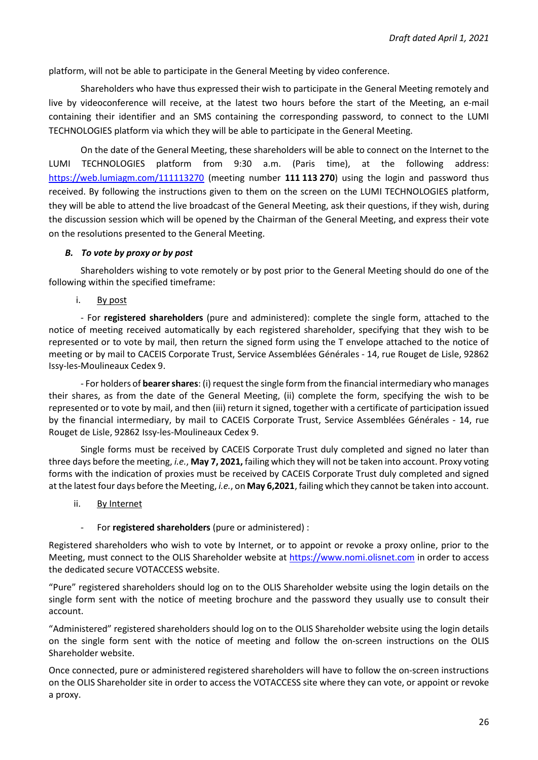platform, will not be able to participate in the General Meeting by video conference.

Shareholders who have thus expressed their wish to participate in the General Meeting remotely and live by videoconference will receive, at the latest two hours before the start of the Meeting, an e-mail containing their identifier and an SMS containing the corresponding password, to connect to the LUMI TECHNOLOGIES platform via which they will be able to participate in the General Meeting.

On the date of the General Meeting, these shareholders will be able to connect on the Internet to the LUMI TECHNOLOGIES platform from 9:30 a.m. (Paris time), at the following address: <https://web.lumiagm.com/111113270>(meeting number **111 113 270**) using the login and password thus received. By following the instructions given to them on the screen on the LUMI TECHNOLOGIES platform, they will be able to attend the live broadcast of the General Meeting, ask their questions, if they wish, during the discussion session which will be opened by the Chairman of the General Meeting, and express their vote on the resolutions presented to the General Meeting.

#### *B. To vote by proxy or by post*

Shareholders wishing to vote remotely or by post prior to the General Meeting should do one of the following within the specified timeframe:

i. By post

- For **registered shareholders** (pure and administered): complete the single form, attached to the notice of meeting received automatically by each registered shareholder, specifying that they wish to be represented or to vote by mail, then return the signed form using the T envelope attached to the notice of meeting or by mail to CACEIS Corporate Trust, Service Assemblées Générales - 14, rue Rouget de Lisle, 92862 Issy-les-Moulineaux Cedex 9.

- For holders of **bearer shares**: (i) request the single form from the financial intermediary who manages their shares, as from the date of the General Meeting, (ii) complete the form, specifying the wish to be represented or to vote by mail, and then (iii) return it signed, together with a certificate of participation issued by the financial intermediary, by mail to CACEIS Corporate Trust, Service Assemblées Générales - 14, rue Rouget de Lisle, 92862 Issy-les-Moulineaux Cedex 9.

Single forms must be received by CACEIS Corporate Trust duly completed and signed no later than three days before the meeting, *i.e.*, **May 7, 2021,** failing which they will not be taken into account. Proxy voting forms with the indication of proxies must be received by CACEIS Corporate Trust duly completed and signed at the latest four days before the Meeting, *i.e.*, on **May 6,2021**, failing which they cannot be taken into account.

ii. By Internet

### - For **registered shareholders** (pure or administered) :

Registered shareholders who wish to vote by Internet, or to appoint or revoke a proxy online, prior to the Meeting, must connect to the OLIS Shareholder website at [https://www.nomi.olisnet.com](https://www.nomi.olisnet.com/) in order to access the dedicated secure VOTACCESS website.

"Pure" registered shareholders should log on to the OLIS Shareholder website using the login details on the single form sent with the notice of meeting brochure and the password they usually use to consult their account.

"Administered" registered shareholders should log on to the OLIS Shareholder website using the login details on the single form sent with the notice of meeting and follow the on-screen instructions on the OLIS Shareholder website.

Once connected, pure or administered registered shareholders will have to follow the on-screen instructions on the OLIS Shareholder site in order to access the VOTACCESS site where they can vote, or appoint or revoke a proxy.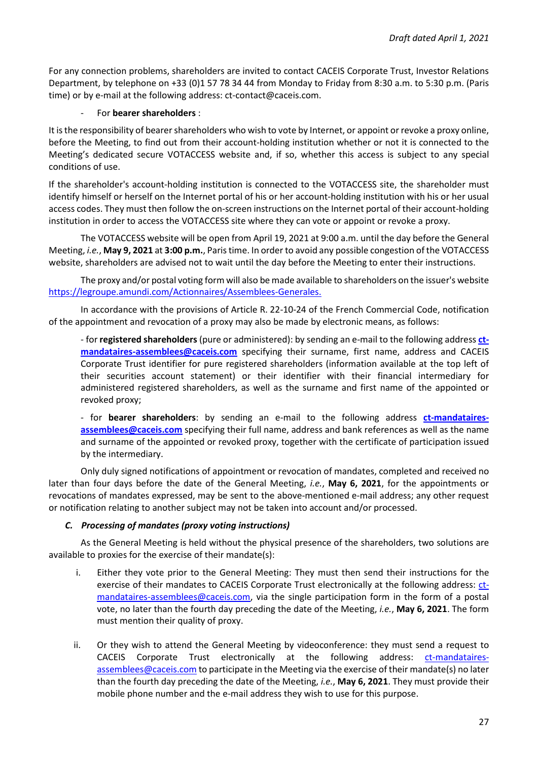For any connection problems, shareholders are invited to contact CACEIS Corporate Trust, Investor Relations Department, by telephone on +33 (0)1 57 78 34 44 from Monday to Friday from 8:30 a.m. to 5:30 p.m. (Paris time) or by e-mail at the following address: ct-contact@caceis.com.

### - For **bearer shareholders** :

It is the responsibility of bearer shareholders who wish to vote by Internet, or appoint or revoke a proxy online, before the Meeting, to find out from their account-holding institution whether or not it is connected to the Meeting's dedicated secure VOTACCESS website and, if so, whether this access is subject to any special conditions of use.

If the shareholder's account-holding institution is connected to the VOTACCESS site, the shareholder must identify himself or herself on the Internet portal of his or her account-holding institution with his or her usual access codes. They must then follow the on-screen instructions on the Internet portal of their account-holding institution in order to access the VOTACCESS site where they can vote or appoint or revoke a proxy.

The VOTACCESS website will be open from April 19, 2021 at 9:00 a.m. until the day before the General Meeting, *i.e.*, **May 9, 2021** at **3:00 p.m.**, Paris time. In order to avoid any possible congestion of the VOTACCESS website, shareholders are advised not to wait until the day before the Meeting to enter their instructions.

The proxy and/or postal voting form will also be made available to shareholders on the issuer's website https://legroupe.amundi.com/Actionnaires/Assemblees-Generales.

In accordance with the provisions of Article R. 22-10-24 of the French Commercial Code, notification of the appointment and revocation of a proxy may also be made by electronic means, as follows:

- for **registered shareholders** (pure or administered): by sending an e-mail to the following address **[ct](mailto:ct-mandataires-assemblees@caceis.com)[mandataires-assemblees@caceis.com](mailto:ct-mandataires-assemblees@caceis.com)** specifying their surname, first name, address and CACEIS Corporate Trust identifier for pure registered shareholders (information available at the top left of their securities account statement) or their identifier with their financial intermediary for administered registered shareholders, as well as the surname and first name of the appointed or revoked proxy;

- for **bearer shareholders**: by sending an e-mail to the following address **[ct-mandataires](mailto:ct-mandataires-assemblees@caceis.com)[assemblees@caceis.com](mailto:ct-mandataires-assemblees@caceis.com)** specifying their full name, address and bank references as well as the name and surname of the appointed or revoked proxy, together with the certificate of participation issued by the intermediary.

Only duly signed notifications of appointment or revocation of mandates, completed and received no later than four days before the date of the General Meeting, *i.e.*, **May 6, 2021**, for the appointments or revocations of mandates expressed, may be sent to the above-mentioned e-mail address; any other request or notification relating to another subject may not be taken into account and/or processed.

### *C. Processing of mandates (proxy voting instructions)*

As the General Meeting is held without the physical presence of the shareholders, two solutions are available to proxies for the exercise of their mandate(s):

- i. Either they vote prior to the General Meeting: They must then send their instructions for the exercise of their mandates to CACEIS Corporate Trust electronically at the following address: [ct](mailto:ct-mandataires-assemblees@caceis.com)[mandataires-assemblees@caceis.com,](mailto:ct-mandataires-assemblees@caceis.com) via the single participation form in the form of a postal vote, no later than the fourth day preceding the date of the Meeting, *i.e.*, **May 6, 2021**. The form must mention their quality of proxy.
- ii. Or they wish to attend the General Meeting by videoconference: they must send a request to CACEIS Corporate Trust electronically at the following address: [ct-mandataires](mailto:ct-mandataires-assemblees@caceis.com)[assemblees@caceis.com t](mailto:ct-mandataires-assemblees@caceis.com)o participate in the Meeting via the exercise of their mandate(s) no later than the fourth day preceding the date of the Meeting, *i.e.*, **May 6, 2021**. They must provide their mobile phone number and the e-mail address they wish to use for this purpose.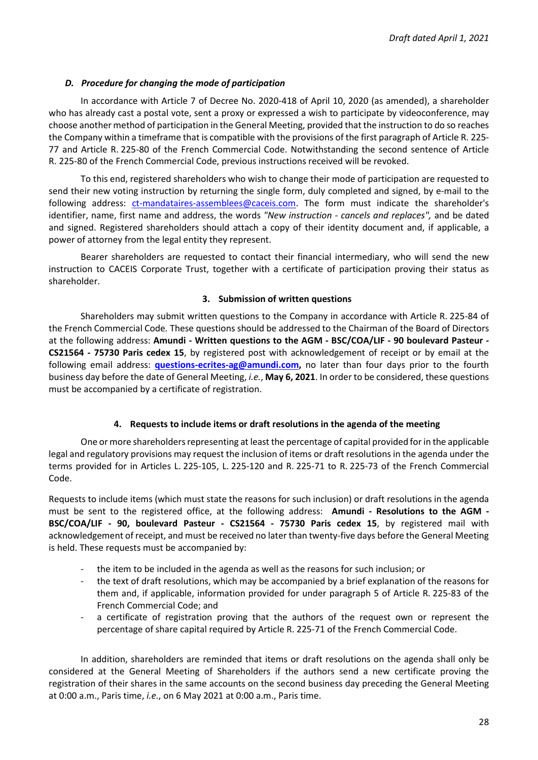#### *D. Procedure for changing the mode of participation*

In accordance with Article 7 of Decree No. 2020-418 of April 10, 2020 (as amended), a shareholder who has already cast a postal vote, sent a proxy or expressed a wish to participate by videoconference, may choose another method of participation in the General Meeting, provided that the instruction to do so reaches the Company within a timeframe that is compatible with the provisions of the first paragraph of Article R. 225- 77 and Article R. 225-80 of the French Commercial Code. Notwithstanding the second sentence of Article R. 225-80 of the French Commercial Code, previous instructions received will be revoked.

To this end, registered shareholders who wish to change their mode of participation are requested to send their new voting instruction by returning the single form, duly completed and signed, by e-mail to the following address: [ct-mandataires-assemblees@caceis.com.](mailto:ct-mandataires-assemblees@caceis.com) The form must indicate the shareholder's identifier, name, first name and address, the words *"New instruction - cancels and replaces",* and be dated and signed. Registered shareholders should attach a copy of their identity document and, if applicable, a power of attorney from the legal entity they represent.

Bearer shareholders are requested to contact their financial intermediary, who will send the new instruction to CACEIS Corporate Trust, together with a certificate of participation proving their status as shareholder.

#### **3. Submission of written questions**

Shareholders may submit written questions to the Company in accordance with Article R. 225-84 of the French Commercial Code*.* These questions should be addressed to the Chairman of the Board of Directors at the following address: **Amundi - Written questions to the AGM - BSC/COA/LIF - 90 boulevard Pasteur - CS21564 - 75730 Paris cedex 15**, by registered post with acknowledgement of receipt or by email at the following email address: **[questions-ecrites-ag@amundi.com,](mailto:questions-ecrites-ag@amundi.com)** no later than four days prior to the fourth business day before the date of General Meeting, *i.e.*, **May 6, 2021**. In order to be considered, these questions must be accompanied by a certificate of registration.

#### **4. Requests to include items or draft resolutions in the agenda of the meeting**

One or more shareholders representing at least the percentage of capital provided for in the applicable legal and regulatory provisions may request the inclusion of items or draft resolutions in the agenda under the terms provided for in Articles L. 225-105, L. 225-120 and R. 225-71 to R. 225-73 of the French Commercial Code.

Requests to include items (which must state the reasons for such inclusion) or draft resolutions in the agenda must be sent to the registered office, at the following address: **Amundi - Resolutions to the AGM - BSC/COA/LIF - 90, boulevard Pasteur - CS21564 - 75730 Paris cedex 15**, by registered mail with acknowledgement of receipt, and must be received no later than twenty-five days before the General Meeting is held. These requests must be accompanied by:

- the item to be included in the agenda as well as the reasons for such inclusion; or
- the text of draft resolutions, which may be accompanied by a brief explanation of the reasons for them and, if applicable, information provided for under paragraph 5 of Article R. 225-83 of the French Commercial Code; and
- a certificate of registration proving that the authors of the request own or represent the percentage of share capital required by Article R. 225-71 of the French Commercial Code.

In addition, shareholders are reminded that items or draft resolutions on the agenda shall only be considered at the General Meeting of Shareholders if the authors send a new certificate proving the registration of their shares in the same accounts on the second business day preceding the General Meeting at 0:00 a.m., Paris time, *i.e.*, on 6 May 2021 at 0:00 a.m., Paris time.